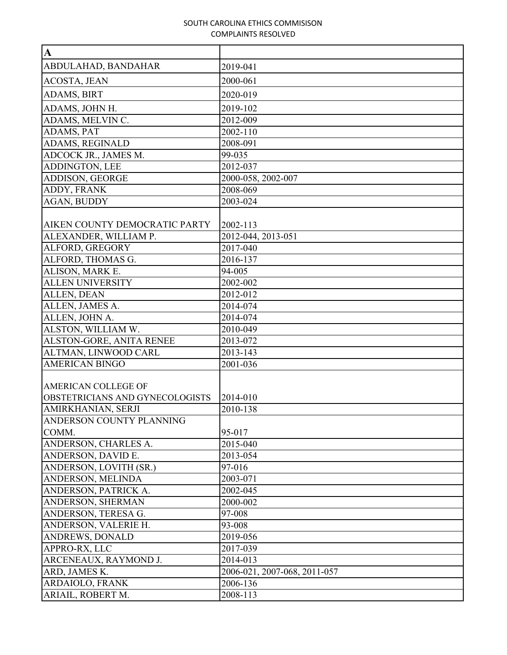| $\mathbf{A}$                    |                              |
|---------------------------------|------------------------------|
| ABDULAHAD, BANDAHAR             | 2019-041                     |
| <b>ACOSTA, JEAN</b>             | 2000-061                     |
| ADAMS, BIRT                     | 2020-019                     |
| ADAMS, JOHN H.                  | 2019-102                     |
| ADAMS, MELVIN C.                | 2012-009                     |
| ADAMS, PAT                      | 2002-110                     |
| ADAMS, REGINALD                 | 2008-091                     |
| ADCOCK JR., JAMES M.            | 99-035                       |
| ADDINGTON, LEE                  | 2012-037                     |
| ADDISON, GEORGE                 | 2000-058, 2002-007           |
| ADDY, FRANK                     | 2008-069                     |
| AGAN, BUDDY                     | 2003-024                     |
|                                 |                              |
| AIKEN COUNTY DEMOCRATIC PARTY   | 2002-113                     |
| ALEXANDER, WILLIAM P.           | 2012-044, 2013-051           |
| ALFORD, GREGORY                 | 2017-040                     |
| ALFORD, THOMAS G.               | 2016-137                     |
| ALISON, MARK E.                 | 94-005                       |
| <b>ALLEN UNIVERSITY</b>         | 2002-002                     |
| ALLEN, DEAN                     | 2012-012                     |
| ALLEN, JAMES A.                 | 2014-074                     |
| ALLEN, JOHN A.                  | 2014-074                     |
| ALSTON, WILLIAM W.              | 2010-049                     |
| ALSTON-GORE, ANITA RENEE        | 2013-072                     |
| ALTMAN, LINWOOD CARL            | 2013-143                     |
| <b>AMERICAN BINGO</b>           | 2001-036                     |
|                                 |                              |
| AMERICAN COLLEGE OF             |                              |
| OBSTETRICIANS AND GYNECOLOGISTS | 2014-010                     |
| AMIRKHANIAN, SERJI              | 2010-138                     |
| ANDERSON COUNTY PLANNING        |                              |
| COMM.                           | 95-017                       |
| ANDERSON, CHARLES A.            | 2015-040                     |
| ANDERSON, DAVID E.              | 2013-054                     |
| ANDERSON, LOVITH (SR.)          | 97-016                       |
| ANDERSON, MELINDA               | 2003-071                     |
| ANDERSON, PATRICK A.            | 2002-045                     |
| ANDERSON, SHERMAN               | 2000-002                     |
| ANDERSON, TERESA G.             | 97-008                       |
| ANDERSON, VALERIE H.            | 93-008                       |
| <b>ANDREWS, DONALD</b>          | 2019-056                     |
| APPRO-RX, LLC                   | 2017-039                     |
| ARCENEAUX, RAYMOND J.           | 2014-013                     |
| ARD, JAMES K.                   | 2006-021, 2007-068, 2011-057 |
| ARDAIOLO, FRANK                 | 2006-136                     |
| ARIAIL, ROBERT M.               | 2008-113                     |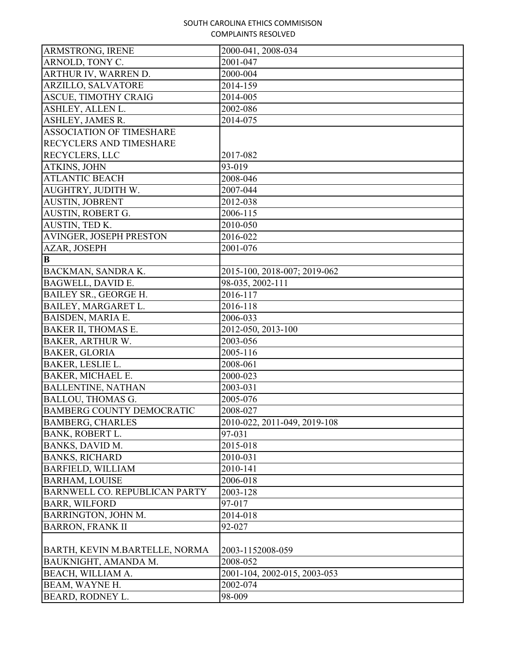| <b>ARMSTRONG, IRENE</b>          | 2000-041, 2008-034                  |
|----------------------------------|-------------------------------------|
| ARNOLD, TONY C.                  | 2001-047                            |
| ARTHUR IV, WARREN D.             | 2000-004                            |
| ARZILLO, SALVATORE               | 2014-159                            |
| <b>ASCUE, TIMOTHY CRAIG</b>      | 2014-005                            |
| ASHLEY, ALLEN L.                 | 2002-086                            |
| ASHLEY, JAMES R.                 | 2014-075                            |
| <b>ASSOCIATION OF TIMESHARE</b>  |                                     |
| <b>RECYCLERS AND TIMESHARE</b>   |                                     |
| <b>RECYCLERS, LLC</b>            | 2017-082                            |
| ATKINS, JOHN                     | 93-019                              |
| <b>ATLANTIC BEACH</b>            | 2008-046                            |
| AUGHTRY, JUDITH W.               | 2007-044                            |
| <b>AUSTIN, JOBRENT</b>           | 2012-038                            |
| AUSTIN, ROBERT G.                | 2006-115                            |
| AUSTIN, TED K.                   | 2010-050                            |
| <b>AVINGER, JOSEPH PRESTON</b>   | 2016-022                            |
| AZAR, JOSEPH                     | 2001-076                            |
| B                                |                                     |
| BACKMAN, SANDRA K.               | 2015-100, 2018-007; 2019-062        |
| BAGWELL, DAVID E.                | 98-035, 2002-111                    |
| BAILEY SR., GEORGE H.            | 2016-117                            |
| BAILEY, MARGARET L.              | 2016-118                            |
| BAISDEN, MARIA E.                | 2006-033                            |
| <b>BAKER II, THOMAS E.</b>       | $\overline{20}12 - 050, 2013 - 100$ |
| <b>BAKER, ARTHUR W.</b>          | 2003-056                            |
| <b>BAKER, GLORIA</b>             | 2005-116                            |
| BAKER, LESLIE L.                 | 2008-061                            |
| <b>BAKER, MICHAEL E.</b>         | 2000-023                            |
| <b>BALLENTINE, NATHAN</b>        | 2003-031                            |
| <b>BALLOU, THOMAS G.</b>         | 2005-076                            |
| <b>BAMBERG COUNTY DEMOCRATIC</b> | 2008-027                            |
| <b>BAMBERG, CHARLES</b>          | 2010-022, 2011-049, 2019-108        |
| BANK, ROBERT L.                  | 97-031                              |
| BANKS, DAVID M.                  | 2015-018                            |
| <b>BANKS, RICHARD</b>            | 2010-031                            |
| <b>BARFIELD, WILLIAM</b>         | 2010-141                            |
| <b>BARHAM, LOUISE</b>            | 2006-018                            |
| BARNWELL CO. REPUBLICAN PARTY    | 2003-128                            |
| <b>BARR, WILFORD</b>             | 97-017                              |
| BARRINGTON, JOHN M.              | 2014-018                            |
| <b>BARRON, FRANK II</b>          | 92-027                              |
|                                  |                                     |
| BARTH, KEVIN M.BARTELLE, NORMA   | 2003-1152008-059                    |
| BAUKNIGHT, AMANDA M.             | 2008-052                            |
| BEACH, WILLIAM A.                | 2001-104, 2002-015, 2003-053        |
| BEAM, WAYNE H.                   | 2002-074                            |
| <b>BEARD, RODNEY L.</b>          | 98-009                              |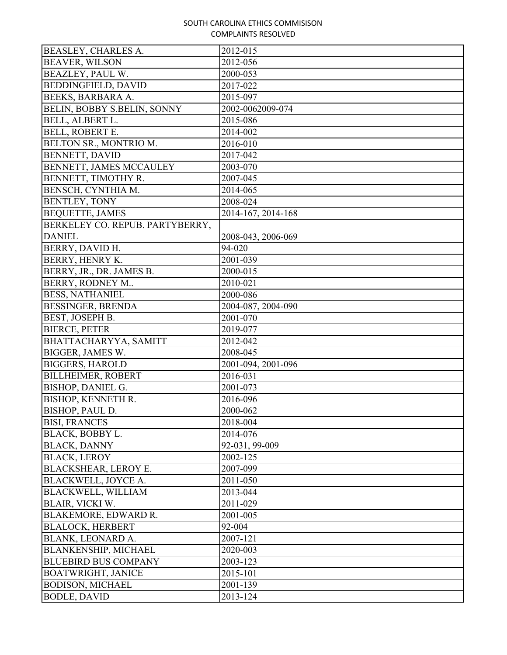| <b>BEASLEY, CHARLES A.</b>      | 2012-015           |
|---------------------------------|--------------------|
| <b>BEAVER, WILSON</b>           | 2012-056           |
| BEAZLEY, PAUL W.                | 2000-053           |
| <b>BEDDINGFIELD, DAVID</b>      | 2017-022           |
| BEEKS, BARBARA A.               | 2015-097           |
| BELIN, BOBBY S.BELIN, SONNY     | 2002-0062009-074   |
| BELL, ALBERT L.                 | 2015-086           |
| BELL, ROBERT E.                 | 2014-002           |
| BELTON SR., MONTRIO M.          | 2016-010           |
| BENNETT, DAVID                  | 2017-042           |
| BENNETT, JAMES MCCAULEY         | 2003-070           |
| BENNETT, TIMOTHY R.             | 2007-045           |
| BENSCH, CYNTHIA M.              | 2014-065           |
| <b>BENTLEY, TONY</b>            | 2008-024           |
| <b>BEQUETTE, JAMES</b>          | 2014-167, 2014-168 |
| BERKELEY CO. REPUB. PARTYBERRY, |                    |
| <b>DANIEL</b>                   | 2008-043, 2006-069 |
| <b>BERRY, DAVID H.</b>          | 94-020             |
| BERRY, HENRY K.                 | 2001-039           |
| BERRY, JR., DR. JAMES B.        | 2000-015           |
| BERRY, RODNEY M                 | 2010-021           |
| <b>BESS, NATHANIEL</b>          | 2000-086           |
| <b>BESSINGER, BRENDA</b>        | 2004-087, 2004-090 |
| BEST, JOSEPH B.                 | 2001-070           |
| <b>BIERCE, PETER</b>            | 2019-077           |
| BHATTACHARYYA, SAMITT           | 2012-042           |
| BIGGER, JAMES W.                | 2008-045           |
| <b>BIGGERS, HAROLD</b>          | 2001-094, 2001-096 |
| <b>BILLHEIMER, ROBERT</b>       | 2016-031           |
| <b>BISHOP, DANIEL G.</b>        | 2001-073           |
| BISHOP, KENNETH R.              | 2016-096           |
| BISHOP, PAUL D.                 | 2000-062           |
| <b>BISI, FRANCES</b>            | 2018-004           |
| BLACK, BOBBY L.                 | 2014-076           |
| <b>BLACK, DANNY</b>             | 92-031, 99-009     |
| <b>BLACK, LEROY</b>             | 2002-125           |
| BLACKSHEAR, LEROY E.            | 2007-099           |
| BLACKWELL, JOYCE A.             | 2011-050           |
| <b>BLACKWELL, WILLIAM</b>       | 2013-044           |
| BLAIR, VICKI W.                 | 2011-029           |
| BLAKEMORE, EDWARD R.            | 2001-005           |
| <b>BLALOCK, HERBERT</b>         | 92-004             |
| BLANK, LEONARD A.               | 2007-121           |
| BLANKENSHIP, MICHAEL            | 2020-003           |
| <b>BLUEBIRD BUS COMPANY</b>     | 2003-123           |
| <b>BOATWRIGHT, JANICE</b>       | 2015-101           |
| <b>BODISON, MICHAEL</b>         | 2001-139           |
| <b>BODLE, DAVID</b>             | 2013-124           |
|                                 |                    |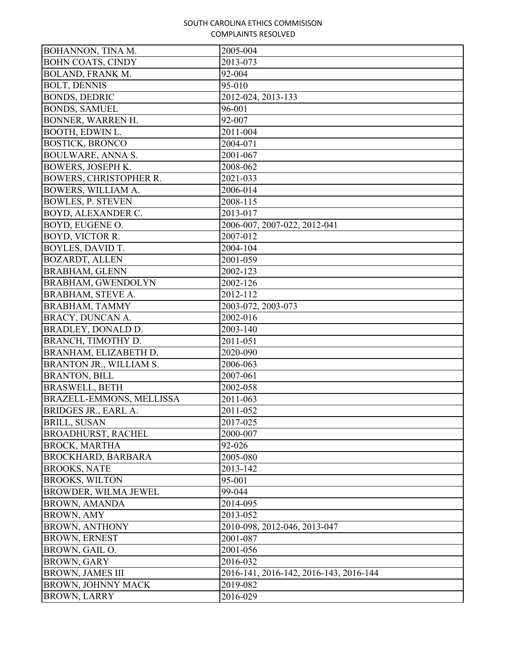| BOHANNON, TINA M.             | 2005-004                               |
|-------------------------------|----------------------------------------|
| <b>BOHN COATS, CINDY</b>      | 2013-073                               |
| <b>BOLAND, FRANK M.</b>       | 92-004                                 |
| <b>BOLT, DENNIS</b>           | 95-010                                 |
| <b>BONDS, DEDRIC</b>          | 2012-024, 2013-133                     |
| <b>BONDS, SAMUEL</b>          | 96-001                                 |
| BONNER, WARREN H.             | 92-007                                 |
| BOOTH, EDWIN L.               | 2011-004                               |
| <b>BOSTICK, BRONCO</b>        | 2004-071                               |
| <b>BOULWARE, ANNA S.</b>      | 2001-067                               |
| <b>BOWERS, JOSEPH K.</b>      | 2008-062                               |
| <b>BOWERS, CHRISTOPHER R.</b> | 2021-033                               |
| BOWERS, WILLIAM A.            | 2006-014                               |
| <b>BOWLES, P. STEVEN</b>      | 2008-115                               |
| BOYD, ALEXANDER C.            | 2013-017                               |
| BOYD, EUGENE O.               | 2006-007, 2007-022, 2012-041           |
| BOYD, VICTOR R.               | 2007-012                               |
| BOYLES, DAVID T.              | 2004-104                               |
| <b>BOZARDT, ALLEN</b>         | 2001-059                               |
| <b>BRABHAM, GLENN</b>         | 2002-123                               |
| <b>BRABHAM, GWENDOLYN</b>     | 2002-126                               |
| BRABHAM, STEVE A.             | 2012-112                               |
| <b>BRABHAM, TAMMY</b>         | 2003-072, 2003-073                     |
| <b>BRACY, DUNCAN A.</b>       | 2002-016                               |
| BRADLEY, DONALD D.            | 2003-140                               |
| BRANCH, TIMOTHY D.            | 2011-051                               |
| BRANHAM, ELIZABETH D.         | 2020-090                               |
| BRANTON JR., WILLIAM S.       | 2006-063                               |
| <b>BRANTON, BILL</b>          | 2007-061                               |
| <b>BRASWELL, BETH</b>         | 2002-058                               |
| BRAZELL-EMMONS, MELLISSA      | 2011-063                               |
| BRIDGES JR., EARL A.          | 2011-052                               |
| <b>BRILL, SUSAN</b>           | 2017-025                               |
| <b>BROADHURST, RACHEL</b>     | 2000-007                               |
| <b>BROCK, MARTHA</b>          | 92-026                                 |
| <b>BROCKHARD, BARBARA</b>     | 2005-080                               |
| <b>BROOKS, NATE</b>           | 2013-142                               |
| <b>BROOKS, WILTON</b>         | 95-001                                 |
| <b>BROWDER, WILMA JEWEL</b>   | 99-044                                 |
| <b>BROWN, AMANDA</b>          | 2014-095                               |
| <b>BROWN, AMY</b>             | 2013-052                               |
| <b>BROWN, ANTHONY</b>         | 2010-098, 2012-046, 2013-047           |
| <b>BROWN, ERNEST</b>          | 2001-087                               |
| BROWN, GAIL O.                | 2001-056                               |
| <b>BROWN, GARY</b>            | 2016-032                               |
| <b>BROWN, JAMES III</b>       | 2016-141, 2016-142, 2016-143, 2016-144 |
| <b>BROWN, JOHNNY MACK</b>     | 2019-082                               |
| <b>BROWN, LARRY</b>           | 2016-029                               |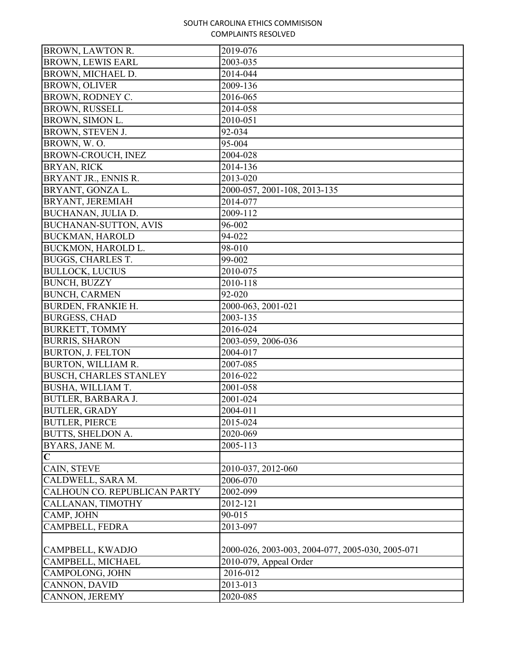| BROWN, LAWTON R.              | 2019-076                                         |
|-------------------------------|--------------------------------------------------|
| <b>BROWN, LEWIS EARL</b>      | 2003-035                                         |
| BROWN, MICHAEL D.             | 2014-044                                         |
| <b>BROWN, OLIVER</b>          | 2009-136                                         |
| BROWN, RODNEY C.              | 2016-065                                         |
| <b>BROWN, RUSSELL</b>         | 2014-058                                         |
| BROWN, SIMON L.               | 2010-051                                         |
| BROWN, STEVEN J.              | 92-034                                           |
| BROWN, W.O.                   | 95-004                                           |
| BROWN-CROUCH, INEZ            | 2004-028                                         |
| <b>BRYAN, RICK</b>            | 2014-136                                         |
| BRYANT JR., ENNIS R.          | 2013-020                                         |
| BRYANT, GONZA L.              | 2000-057, 2001-108, 2013-135                     |
| BRYANT, JEREMIAH              | 2014-077                                         |
| BUCHANAN, JULIA D.            | 2009-112                                         |
| <b>BUCHANAN-SUTTON, AVIS</b>  | 96-002                                           |
| <b>BUCKMAN, HAROLD</b>        | 94-022                                           |
| BUCKMON, HAROLD L.            | 98-010                                           |
| <b>BUGGS, CHARLES T.</b>      | 99-002                                           |
| <b>BULLOCK, LUCIUS</b>        | 2010-075                                         |
| <b>BUNCH, BUZZY</b>           | 2010-118                                         |
| <b>BUNCH, CARMEN</b>          | 92-020                                           |
| <b>BURDEN, FRANKIE H.</b>     | 2000-063, 2001-021                               |
| <b>BURGESS, CHAD</b>          | 2003-135                                         |
| <b>BURKETT, TOMMY</b>         | 2016-024                                         |
| <b>BURRIS, SHARON</b>         | 2003-059, 2006-036                               |
| <b>BURTON, J. FELTON</b>      | 2004-017                                         |
| BURTON, WILLIAM R.            | 2007-085                                         |
| <b>BUSCH, CHARLES STANLEY</b> | 2016-022                                         |
| BUSHA, WILLIAM T.             | 2001-058                                         |
| <b>BUTLER, BARBARA J.</b>     | 2001-024                                         |
| <b>BUTLER, GRADY</b>          | 2004-011                                         |
| <b>BUTLER, PIERCE</b>         | 2015-024                                         |
| <b>BUTTS, SHELDON A.</b>      | 2020-069                                         |
| BYARS, JANE M.                | 2005-113                                         |
| $\mathbf C$                   |                                                  |
| CAIN, STEVE                   | 2010-037, 2012-060                               |
| CALDWELL, SARA M.             | 2006-070                                         |
| CALHOUN CO. REPUBLICAN PARTY  | 2002-099                                         |
| CALLANAN, TIMOTHY             | 2012-121                                         |
| CAMP, JOHN                    | 90-015                                           |
| CAMPBELL, FEDRA               | 2013-097                                         |
|                               |                                                  |
| CAMPBELL, KWADJO              | 2000-026, 2003-003, 2004-077, 2005-030, 2005-071 |
| CAMPBELL, MICHAEL             | 2010-079, Appeal Order                           |
| CAMPOLONG, JOHN               | 2016-012                                         |
| CANNON, DAVID                 | 2013-013                                         |
| CANNON, JEREMY                | 2020-085                                         |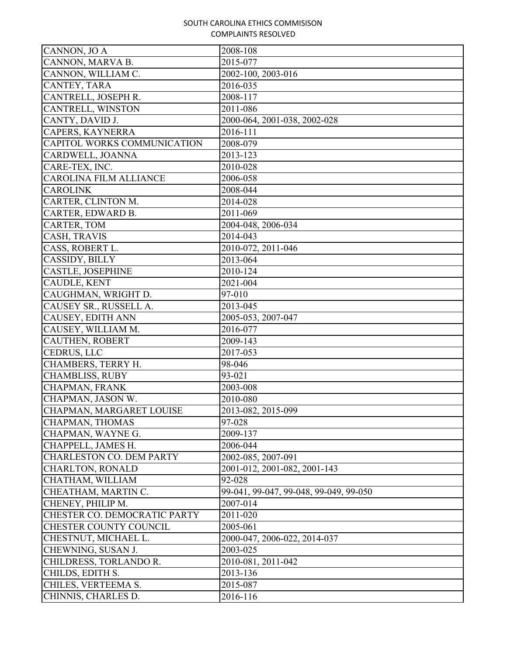| CANNON, JO A                    | 2008-108                               |
|---------------------------------|----------------------------------------|
| CANNON, MARVA B.                | 2015-077                               |
| CANNON, WILLIAM C.              | 2002-100, 2003-016                     |
| CANTEY, TARA                    | 2016-035                               |
| CANTRELL, JOSEPH R.             | 2008-117                               |
| CANTRELL, WINSTON               | 2011-086                               |
| CANTY, DAVID J.                 | 2000-064, 2001-038, 2002-028           |
| CAPERS, KAYNERRA                | 2016-111                               |
| CAPITOL WORKS COMMUNICATION     | 2008-079                               |
| CARDWELL, JOANNA                | 2013-123                               |
| CARE-TEX, INC.                  | 2010-028                               |
| <b>CAROLINA FILM ALLIANCE</b>   | 2006-058                               |
| <b>CAROLINK</b>                 | 2008-044                               |
| CARTER, CLINTON M.              | 2014-028                               |
| CARTER, EDWARD B.               | 2011-069                               |
| CARTER, TOM                     | 2004-048, 2006-034                     |
| CASH, TRAVIS                    | 2014-043                               |
| CASS, ROBERT L.                 | 2010-072, 2011-046                     |
| CASSIDY, BILLY                  | 2013-064                               |
| <b>CASTLE, JOSEPHINE</b>        | 2010-124                               |
| <b>CAUDLE, KENT</b>             | 2021-004                               |
| CAUGHMAN, WRIGHT D.             | 97-010                                 |
| CAUSEY SR., RUSSELL A.          | 2013-045                               |
| CAUSEY, EDITH ANN               | 2005-053, 2007-047                     |
| CAUSEY, WILLIAM M.              | 2016-077                               |
| <b>CAUTHEN, ROBERT</b>          | 2009-143                               |
| <b>CEDRUS, LLC</b>              | 2017-053                               |
| CHAMBERS, TERRY H.              | 98-046                                 |
| <b>CHAMBLISS, RUBY</b>          | 93-021                                 |
| CHAPMAN, FRANK                  | 2003-008                               |
| CHAPMAN, JASON W.               | 2010-080                               |
| CHAPMAN, MARGARET LOUISE        | 2013-082, 2015-099                     |
| CHAPMAN, THOMAS                 | 97-028                                 |
| CHAPMAN, WAYNE G.               | 2009-137                               |
| CHAPPELL, JAMES H.              | 2006-044                               |
| <b>CHARLESTON CO. DEM PARTY</b> | 2002-085, 2007-091                     |
| <b>CHARLTON, RONALD</b>         | 2001-012, 2001-082, 2001-143           |
| CHATHAM, WILLIAM                | 92-028                                 |
| CHEATHAM, MARTIN C.             | 99-041, 99-047, 99-048, 99-049, 99-050 |
| CHENEY, PHILIP M.               | 2007-014                               |
| CHESTER CO. DEMOCRATIC PARTY    | 2011-020                               |
| CHESTER COUNTY COUNCIL          | 2005-061                               |
| CHESTNUT, MICHAEL L.            | 2000-047, 2006-022, 2014-037           |
| CHEWNING, SUSAN J.              | 2003-025                               |
| CHILDRESS, TORLANDO R.          | 2010-081, 2011-042                     |
| CHILDS, EDITH S.                | 2013-136                               |
| CHILES, VERTEEMA S.             | 2015-087                               |
| CHINNIS, CHARLES D.             | 2016-116                               |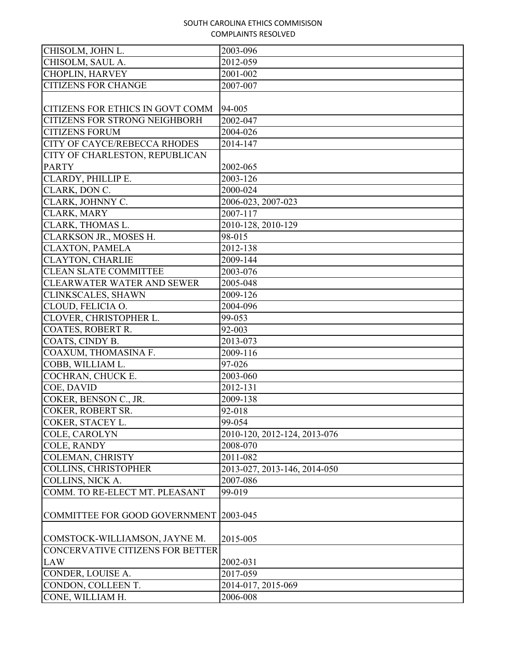| CHISOLM, JOHN L.                        |                              |
|-----------------------------------------|------------------------------|
|                                         | 2003-096                     |
| CHISOLM, SAUL A.                        | 2012-059                     |
| <b>CHOPLIN, HARVEY</b>                  | 2001-002                     |
| <b>CITIZENS FOR CHANGE</b>              | 2007-007                     |
|                                         |                              |
| CITIZENS FOR ETHICS IN GOVT COMM        | 94-005                       |
| <b>CITIZENS FOR STRONG NEIGHBORH</b>    | 2002-047                     |
| <b>CITIZENS FORUM</b>                   | 2004-026                     |
| <b>CITY OF CAYCE/REBECCA RHODES</b>     | 2014-147                     |
| CITY OF CHARLESTON, REPUBLICAN          |                              |
| <b>PARTY</b>                            | 2002-065                     |
| CLARDY, PHILLIP E.                      | 2003-126                     |
| CLARK, DON C.                           | 2000-024                     |
| CLARK, JOHNNY C.                        | 2006-023, 2007-023           |
| CLARK, MARY                             | 2007-117                     |
| CLARK, THOMAS L.                        | 2010-128, 2010-129           |
| CLARKSON JR., MOSES H.                  | 98-015                       |
| <b>CLAXTON, PAMELA</b>                  | 2012-138                     |
| <b>CLAYTON, CHARLIE</b>                 | 2009-144                     |
| <b>CLEAN SLATE COMMITTEE</b>            | 2003-076                     |
| <b>CLEARWATER WATER AND SEWER</b>       | 2005-048                     |
| CLINKSCALES, SHAWN                      | 2009-126                     |
| CLOUD, FELICIA O.                       | 2004-096                     |
| CLOVER, CHRISTOPHER L.                  | 99-053                       |
| COATES, ROBERT R.                       | 92-003                       |
| COATS, CINDY B.                         | 2013-073                     |
| COAXUM, THOMASINA F.                    | 2009-116                     |
| COBB, WILLIAM L.                        | 97-026                       |
| COCHRAN, CHUCK E.                       | 2003-060                     |
| COE, DAVID                              | 2012-131                     |
| COKER, BENSON C., JR.                   | 2009-138                     |
| COKER, ROBERT SR.                       | 92-018                       |
| COKER, STACEY L.                        | 99-054                       |
| COLE, CAROLYN                           | 2010-120, 2012-124, 2013-076 |
| <b>COLE, RANDY</b>                      | 2008-070                     |
| COLEMAN, CHRISTY                        | 2011-082                     |
| <b>COLLINS, CHRISTOPHER</b>             | 2013-027, 2013-146, 2014-050 |
| COLLINS, NICK A.                        | 2007-086                     |
| COMM. TO RE-ELECT MT. PLEASANT          | 99-019                       |
|                                         |                              |
| COMMITTEE FOR GOOD GOVERNMENT           | 2003-045                     |
|                                         |                              |
|                                         |                              |
| COMSTOCK-WILLIAMSON, JAYNE M.           | 2015-005                     |
| <b>CONCERVATIVE CITIZENS FOR BETTER</b> |                              |
| <b>LAW</b>                              | 2002-031                     |
| CONDER, LOUISE A.                       | 2017-059                     |
| CONDON, COLLEEN T.                      | 2014-017, 2015-069           |
| CONE, WILLIAM H.                        | 2006-008                     |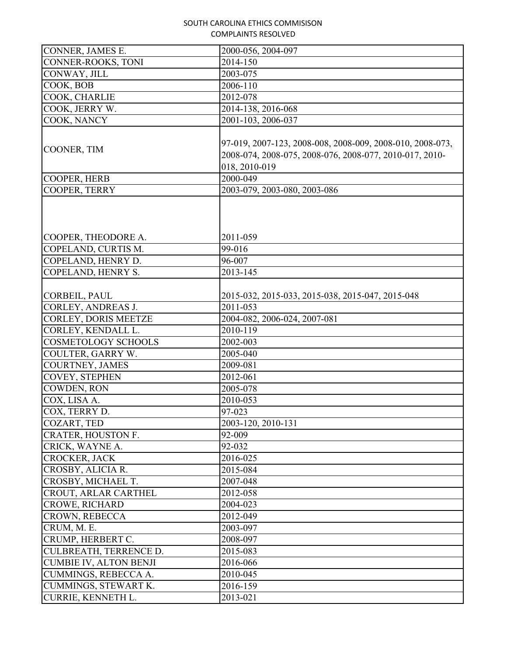| CONNER, JAMES E.                                 | 2000-056, 2004-097                                                                                                                    |
|--------------------------------------------------|---------------------------------------------------------------------------------------------------------------------------------------|
| CONNER-ROOKS, TONI                               | 2014-150                                                                                                                              |
| CONWAY, JILL                                     | 2003-075                                                                                                                              |
| COOK, BOB                                        | $2006 - 110$                                                                                                                          |
| COOK, CHARLIE                                    | 2012-078                                                                                                                              |
| COOK, JERRY W.                                   | 2014-138, 2016-068                                                                                                                    |
| COOK, NANCY                                      | 2001-103, 2006-037                                                                                                                    |
| COONER, TIM                                      | 97-019, 2007-123, 2008-008, 2008-009, 2008-010, 2008-073,<br>2008-074, 2008-075, 2008-076, 2008-077, 2010-017, 2010-<br>018, 2010-019 |
| COOPER, HERB                                     | 2000-049                                                                                                                              |
| COOPER, TERRY                                    | 2003-079, 2003-080, 2003-086                                                                                                          |
| COOPER, THEODORE A.                              | 2011-059                                                                                                                              |
| COPELAND, CURTIS M.                              | 99-016                                                                                                                                |
| COPELAND, HENRY D.                               | 96-007                                                                                                                                |
| COPELAND, HENRY S.                               | 2013-145                                                                                                                              |
| CORBEIL, PAUL<br>CORLEY, ANDREAS J.              | 2015-032, 2015-033, 2015-038, 2015-047, 2015-048<br>2011-053                                                                          |
| <b>CORLEY, DORIS MEETZE</b>                      | 2004-082, 2006-024, 2007-081                                                                                                          |
|                                                  | 2010-119                                                                                                                              |
| CORLEY, KENDALL L.<br><b>COSMETOLOGY SCHOOLS</b> | 2002-003                                                                                                                              |
| COULTER, GARRY W.                                | 2005-040                                                                                                                              |
| <b>COURTNEY, JAMES</b>                           | 2009-081                                                                                                                              |
| <b>COVEY, STEPHEN</b>                            | 2012-061                                                                                                                              |
| COWDEN, RON                                      | 2005-078                                                                                                                              |
| COX, LISA A.                                     | 2010-053                                                                                                                              |
| COX, TERRY D.                                    | 97-023                                                                                                                                |
| COZART, TED                                      | 2003-120, 2010-131                                                                                                                    |
| CRATER, HOUSTON F.                               | 92-009                                                                                                                                |
| CRICK, WAYNE A.                                  | 92-032                                                                                                                                |
| CROCKER, JACK                                    | 2016-025                                                                                                                              |
| CROSBY, ALICIA R.                                | 2015-084                                                                                                                              |
| CROSBY, MICHAEL T.                               | 2007-048                                                                                                                              |
| CROUT, ARLAR CARTHEL                             | 2012-058                                                                                                                              |
| <b>CROWE, RICHARD</b>                            | 2004-023                                                                                                                              |
| CROWN, REBECCA                                   | 2012-049                                                                                                                              |
| CRUM, M. E.                                      | 2003-097                                                                                                                              |
| CRUMP, HERBERT C.                                | 2008-097                                                                                                                              |
| CULBREATH, TERRENCE D.                           | 2015-083                                                                                                                              |
| <b>CUMBIE IV, ALTON BENJI</b>                    | 2016-066                                                                                                                              |
| CUMMINGS, REBECCA A.                             | 2010-045                                                                                                                              |
| CUMMINGS, STEWART K.                             | 2016-159                                                                                                                              |
| CURRIE, KENNETH L.                               | 2013-021                                                                                                                              |
|                                                  |                                                                                                                                       |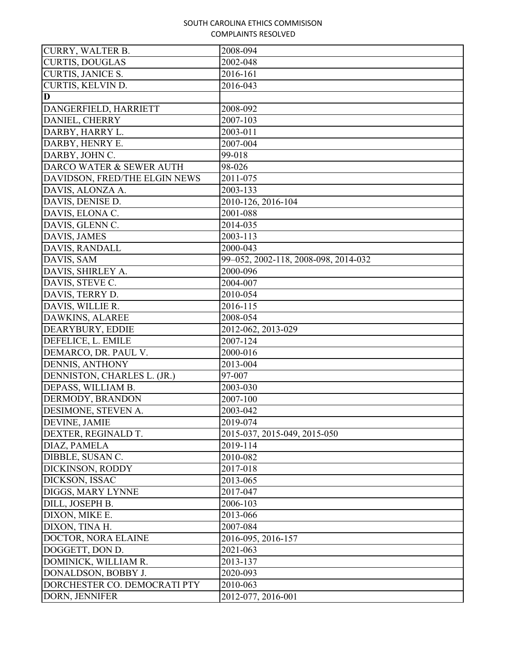| <b>CURRY, WALTER B.</b>       | 2008-094                             |
|-------------------------------|--------------------------------------|
| <b>CURTIS, DOUGLAS</b>        | 2002-048                             |
| <b>CURTIS, JANICE S.</b>      | 2016-161                             |
| CURTIS, KELVIN D.             | 2016-043                             |
| D                             |                                      |
| DANGERFIELD, HARRIETT         | 2008-092                             |
| DANIEL, CHERRY                | 2007-103                             |
| DARBY, HARRY L.               | 2003-011                             |
| DARBY, HENRY E.               | 2007-004                             |
| DARBY, JOHN C.                | 99-018                               |
| DARCO WATER & SEWER AUTH      | 98-026                               |
| DAVIDSON, FRED/THE ELGIN NEWS | 2011-075                             |
| DAVIS, ALONZA A.              | 2003-133                             |
| DAVIS, DENISE D.              | 2010-126, 2016-104                   |
| DAVIS, ELONA C.               | 2001-088                             |
| DAVIS, GLENN C.               | 2014-035                             |
| DAVIS, JAMES                  | 2003-113                             |
| DAVIS, RANDALL                | 2000-043                             |
| DAVIS, SAM                    | 99-052, 2002-118, 2008-098, 2014-032 |
| DAVIS, SHIRLEY A.             | 2000-096                             |
| DAVIS, STEVE C.               | 2004-007                             |
| DAVIS, TERRY D.               | 2010-054                             |
| DAVIS, WILLIE R.              | 2016-115                             |
| DAWKINS, ALAREE               | 2008-054                             |
| DEARYBURY, EDDIE              | 2012-062, 2013-029                   |
| DEFELICE, L. EMILE            | 2007-124                             |
| DEMARCO, DR. PAUL V.          | 2000-016                             |
| DENNIS, ANTHONY               | 2013-004                             |
| DENNISTON, CHARLES L. (JR.)   | 97-007                               |
| DEPASS, WILLIAM B.            | 2003-030                             |
| DERMODY, BRANDON              | 2007-100                             |
| DESIMONE, STEVEN A.           | 2003-042                             |
| DEVINE, JAMIE                 | 2019-074                             |
| DEXTER, REGINALD T.           | 2015-037, 2015-049, 2015-050         |
| DIAZ, PAMELA                  | 2019-114                             |
| DIBBLE, SUSAN C.              | 2010-082                             |
| DICKINSON, RODDY              | 2017-018                             |
| DICKSON, ISSAC                | 2013-065                             |
| DIGGS, MARY LYNNE             | 2017-047                             |
| DILL, JOSEPH B.               | 2006-103                             |
| DIXON, MIKE E.                | 2013-066                             |
| DIXON, TINA H.                | 2007-084                             |
| DOCTOR, NORA ELAINE           | 2016-095, 2016-157                   |
| DOGGETT, DON D.               | 2021-063                             |
| DOMINICK, WILLIAM R.          | 2013-137                             |
| DONALDSON, BOBBY J.           | 2020-093                             |
| DORCHESTER CO. DEMOCRATI PTY  | 2010-063                             |
| DORN, JENNIFER                | 2012-077, 2016-001                   |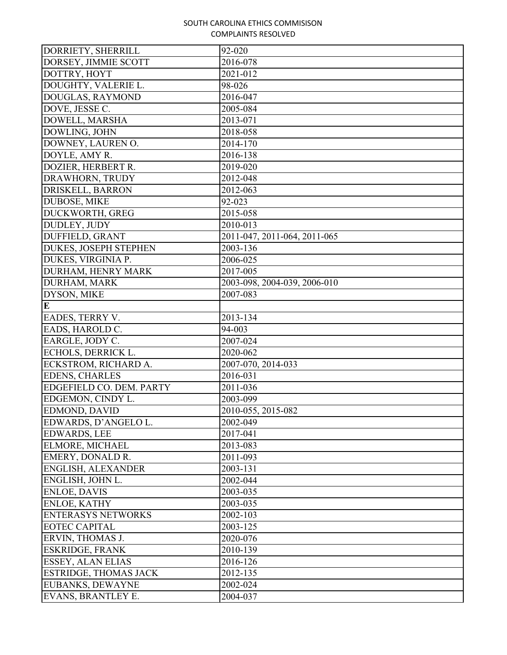| DORRIETY, SHERRILL           | 92-020                       |
|------------------------------|------------------------------|
| DORSEY, JIMMIE SCOTT         | 2016-078                     |
| DOTTRY, HOYT                 | 2021-012                     |
| DOUGHTY, VALERIE L.          | 98-026                       |
| DOUGLAS, RAYMOND             | 2016-047                     |
| DOVE, JESSE C.               | 2005-084                     |
| DOWELL, MARSHA               | 2013-071                     |
| DOWLING, JOHN                | 2018-058                     |
| DOWNEY, LAUREN O.            | 2014-170                     |
| DOYLE, AMY R.                | 2016-138                     |
| DOZIER, HERBERT R.           | 2019-020                     |
| DRAWHORN, TRUDY              | 2012-048                     |
| DRISKELL, BARRON             | 2012-063                     |
| <b>DUBOSE, MIKE</b>          | 92-023                       |
| DUCKWORTH, GREG              | 2015-058                     |
| DUDLEY, JUDY                 | 2010-013                     |
| DUFFIELD, GRANT              | 2011-047, 2011-064, 2011-065 |
| <b>DUKES, JOSEPH STEPHEN</b> | 2003-136                     |
| DUKES, VIRGINIA P.           | 2006-025                     |
| DURHAM, HENRY MARK           | 2017-005                     |
| DURHAM, MARK                 | 2003-098, 2004-039, 2006-010 |
| DYSON, MIKE                  | 2007-083                     |
| $\mathbf E$                  |                              |
| EADES, TERRY V.              | 2013-134                     |
| EADS, HAROLD C.              | 94-003                       |
| EARGLE, JODY C.              | 2007-024                     |
| ECHOLS, DERRICK L.           | 2020-062                     |
| ECKSTROM, RICHARD A.         | 2007-070, 2014-033           |
| <b>EDENS, CHARLES</b>        | 2016-031                     |
| EDGEFIELD CO. DEM. PARTY     | 2011-036                     |
| EDGEMON, CINDY L.            | 2003-099                     |
| EDMOND, DAVID                | 2010-055, 2015-082           |
| EDWARDS, D'ANGELO L.         | 2002-049                     |
| <b>EDWARDS, LEE</b>          | 2017-041                     |
| ELMORE, MICHAEL              | 2013-083                     |
| EMERY, DONALD R.             | 2011-093                     |
| ENGLISH, ALEXANDER           | 2003-131                     |
| ENGLISH, JOHN L.             | 2002-044                     |
| <b>ENLOE, DAVIS</b>          | 2003-035                     |
| <b>ENLOE, KATHY</b>          | 2003-035                     |
| <b>ENTERASYS NETWORKS</b>    | 2002-103                     |
| <b>EOTEC CAPITAL</b>         | 2003-125                     |
| ERVIN, THOMAS J.             | 2020-076                     |
| <b>ESKRIDGE, FRANK</b>       | 2010-139                     |
| <b>ESSEY, ALAN ELIAS</b>     | 2016-126                     |
| <b>ESTRIDGE, THOMAS JACK</b> | 2012-135                     |
| EUBANKS, DEWAYNE             | 2002-024                     |
| EVANS, BRANTLEY E.           | 2004-037                     |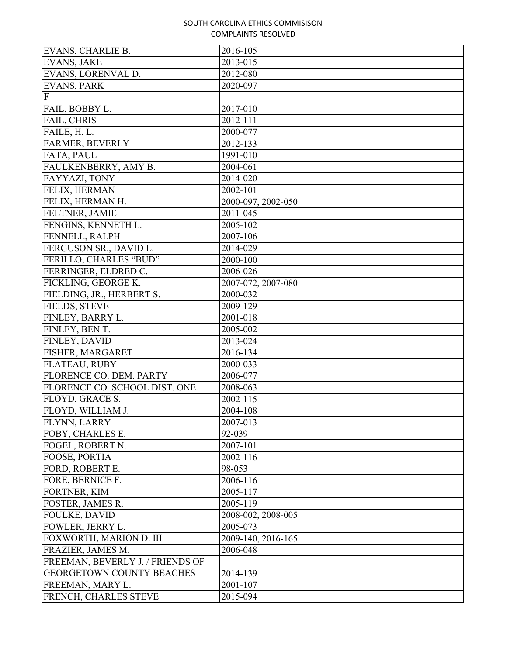| EVANS, CHARLIE B.                | 2016-105           |
|----------------------------------|--------------------|
| <b>EVANS, JAKE</b>               | 2013-015           |
| EVANS, LORENVAL D.               | 2012-080           |
| <b>EVANS, PARK</b>               | 2020-097           |
| $\mathbf F$                      |                    |
| FAIL, BOBBY L.                   | 2017-010           |
| FAIL, CHRIS                      | 2012-111           |
| FAILE, H. L.                     | 2000-077           |
| FARMER, BEVERLY                  | 2012-133           |
| FATA, PAUL                       | 1991-010           |
| FAULKENBERRY, AMY B.             | 2004-061           |
| FAYYAZI, TONY                    | 2014-020           |
| FELIX, HERMAN                    | 2002-101           |
| FELIX, HERMAN H.                 | 2000-097, 2002-050 |
| FELTNER, JAMIE                   | 2011-045           |
| FENGINS, KENNETH L.              | $2005 - 102$       |
| FENNELL, RALPH                   | 2007-106           |
| FERGUSON SR., DAVID L.           | 2014-029           |
| FERILLO, CHARLES "BUD"           | 2000-100           |
| FERRINGER, ELDRED C.             | 2006-026           |
| FICKLING, GEORGE K.              | 2007-072, 2007-080 |
| FIELDING, JR., HERBERT S.        | 2000-032           |
| FIELDS, STEVE                    | 2009-129           |
| FINLEY, BARRY L.                 | 2001-018           |
| FINLEY, BEN T.                   | 2005-002           |
| FINLEY, DAVID                    | 2013-024           |
| FISHER, MARGARET                 | 2016-134           |
| FLATEAU, RUBY                    | 2000-033           |
| FLORENCE CO. DEM. PARTY          | 2006-077           |
| FLORENCE CO. SCHOOL DIST. ONE    | 2008-063           |
| FLOYD, GRACE S.                  | 2002-115           |
| FLOYD, WILLIAM J.                | 2004-108           |
| FLYNN, LARRY                     | 2007-013           |
| FOBY, CHARLES E.                 | 92-039             |
| FOGEL, ROBERT N.                 | 2007-101           |
| FOOSE, PORTIA                    | 2002-116           |
| FORD, ROBERT E.                  | 98-053             |
| FORE, BERNICE F.                 | 2006-116           |
| FORTNER, KIM                     | 2005-117           |
| FOSTER, JAMES R.                 | 2005-119           |
| <b>FOULKE, DAVID</b>             | 2008-002, 2008-005 |
| FOWLER, JERRY L.                 | 2005-073           |
| FOXWORTH, MARION D. III          | 2009-140, 2016-165 |
| FRAZIER, JAMES M.                | 2006-048           |
| FREEMAN, BEVERLY J. / FRIENDS OF |                    |
| GEORGETOWN COUNTY BEACHES        | 2014-139           |
| FREEMAN, MARY L.                 | 2001-107           |
| FRENCH, CHARLES STEVE            | 2015-094           |
|                                  |                    |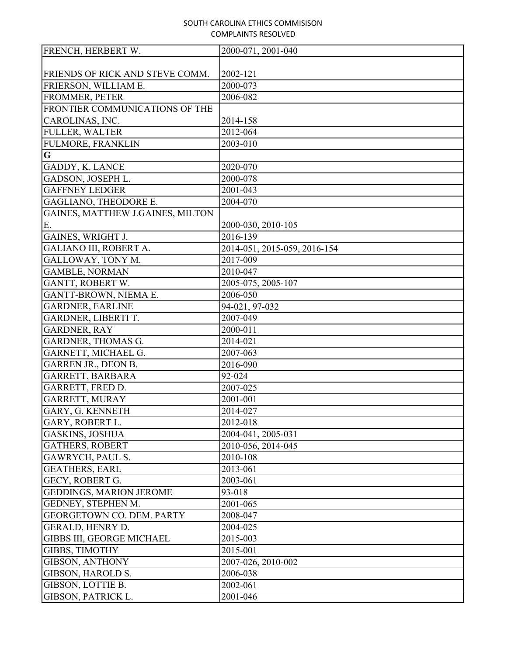| FRENCH, HERBERT W.               | 2000-071, 2001-040           |
|----------------------------------|------------------------------|
|                                  |                              |
| FRIENDS OF RICK AND STEVE COMM.  | 2002-121                     |
| FRIERSON, WILLIAM E.             | 2000-073                     |
| FROMMER, PETER                   | 2006-082                     |
| FRONTIER COMMUNICATIONS OF THE   |                              |
| CAROLINAS, INC.                  | 2014-158                     |
| <b>FULLER, WALTER</b>            | 2012-064                     |
| <b>FULMORE, FRANKLIN</b>         | 2003-010                     |
| $\overline{\mathbf{G}}$          |                              |
| GADDY, K. LANCE                  | 2020-070                     |
| GADSON, JOSEPH L.                | 2000-078                     |
| <b>GAFFNEY LEDGER</b>            | 2001-043                     |
| GAGLIANO, THEODORE E.            | 2004-070                     |
| GAINES, MATTHEW J.GAINES, MILTON |                              |
| Ε.                               | 2000-030, 2010-105           |
| GAINES, WRIGHT J.                | 2016-139                     |
| GALIANO III, ROBERT A.           | 2014-051, 2015-059, 2016-154 |
| GALLOWAY, TONY M.                | 2017-009                     |
| <b>GAMBLE, NORMAN</b>            | 2010-047                     |
| GANTT, ROBERT W.                 | 2005-075, 2005-107           |
| GANTT-BROWN, NIEMA E.            | 2006-050                     |
| <b>GARDNER, EARLINE</b>          | 94-021, 97-032               |
| GARDNER, LIBERTI T.              | 2007-049                     |
| <b>GARDNER, RAY</b>              | 2000-011                     |
| GARDNER, THOMAS G.               | 2014-021                     |
| GARNETT, MICHAEL G.              | 2007-063                     |
| <b>GARREN JR., DEON B.</b>       | 2016-090                     |
| GARRETT, BARBARA                 | 92-024                       |
| GARRETT, FRED D.                 | 2007-025                     |
| GARRETT, MURAY                   | 2001-001                     |
| GARY, G. KENNETH                 | 2014-027                     |
| GARY, ROBERT L.                  | 2012-018                     |
| <b>GASKINS, JOSHUA</b>           | 2004-041, 2005-031           |
| <b>GATHERS, ROBERT</b>           | 2010-056, 2014-045           |
| GAWRYCH, PAUL S.                 | 2010-108                     |
| <b>GEATHERS, EARL</b>            | 2013-061                     |
| GECY, ROBERT G.                  | 2003-061                     |
| <b>GEDDINGS, MARION JEROME</b>   | 93-018                       |
| GEDNEY, STEPHEN M.               | 2001-065                     |
| GEORGETOWN CO. DEM. PARTY        | 2008-047                     |
| <b>GERALD, HENRY D.</b>          | 2004-025                     |
| <b>GIBBS III, GEORGE MICHAEL</b> | 2015-003                     |
| <b>GIBBS, TIMOTHY</b>            | 2015-001                     |
| <b>GIBSON, ANTHONY</b>           | 2007-026, 2010-002           |
| GIBSON, HAROLD S.                | 2006-038                     |
| GIBSON, LOTTIE B.                | 2002-061                     |
| GIBSON, PATRICK L.               | 2001-046                     |
|                                  |                              |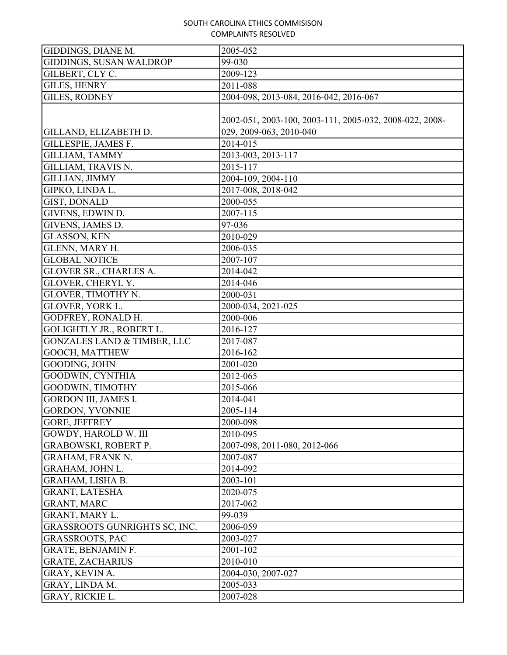| <b>GIDDINGS, SUSAN WALDROP</b><br>99-030<br>GILBERT, CLY C.<br>2009-123<br><b>GILES, HENRY</b><br>2011-088<br><b>GILES, RODNEY</b><br>2004-098, 2013-084, 2016-042, 2016-067<br>2002-051, 2003-100, 2003-111, 2005-032, 2008-022, 2008-<br>029, 2009-063, 2010-040<br>GILLAND, ELIZABETH D.<br>GILLESPIE, JAMES F.<br>2014-015<br><b>GILLIAM, TAMMY</b><br>2013-003, 2013-117<br>2015-117<br>GILLIAM, TRAVIS N.<br><b>GILLIAN, JIMMY</b><br>2004-109, 2004-110<br>2017-008, 2018-042<br>GIPKO, LINDA L.<br>GIST, DONALD<br>2000-055<br>GIVENS, EDWIN D.<br>2007-115<br>GIVENS, JAMES D.<br>97-036<br><b>GLASSON, KEN</b><br>2010-029<br>GLENN, MARY H.<br>2006-035<br><b>GLOBAL NOTICE</b><br>2007-107<br>GLOVER SR., CHARLES A.<br>2014-042<br><b>GLOVER, CHERYL Y.</b><br>2014-046<br>GLOVER, TIMOTHY N.<br>2000-031<br>GLOVER, YORK L.<br>2000-034, 2021-025<br>GODFREY, RONALD H.<br>2000-006<br><b>GOLIGHTLY JR., ROBERT L.</b><br>2016-127<br><b>GONZALES LAND &amp; TIMBER, LLC</b><br>2017-087<br>GOOCH, MATTHEW<br>2016-162<br>GOODING, JOHN<br>2001-020<br><b>GOODWIN, CYNTHIA</b><br>2012-065<br>GOODWIN, TIMOTHY<br>2015-066<br><b>GORDON III, JAMES I.</b><br>2014-041<br><b>GORDON, YVONNIE</b><br>2005-114<br><b>GORE, JEFFREY</b><br>2000-098<br><b>GOWDY, HAROLD W. III</b><br>2010-095<br>2007-098, 2011-080, 2012-066<br><b>GRABOWSKI, ROBERT P.</b><br>2007-087<br><b>GRAHAM, FRANK N.</b><br>GRAHAM, JOHN L.<br>2014-092<br>GRAHAM, LISHA B.<br>2003-101<br><b>GRANT, LATESHA</b><br>2020-075<br><b>GRANT, MARC</b><br>2017-062<br><b>GRANT, MARY L.</b><br>99-039<br>GRASSROOTS GUNRIGHTS SC, INC.<br>2006-059<br><b>GRASSROOTS, PAC</b><br>2003-027<br><b>GRATE, BENJAMIN F.</b><br>2001-102<br>2010-010<br><b>GRATE, ZACHARIUS</b><br>GRAY, KEVIN A.<br>2004-030, 2007-027<br>GRAY, LINDA M.<br>2005-033<br>GRAY, RICKIE L.<br>2007-028 | GIDDINGS, DIANE M. | 2005-052 |
|-----------------------------------------------------------------------------------------------------------------------------------------------------------------------------------------------------------------------------------------------------------------------------------------------------------------------------------------------------------------------------------------------------------------------------------------------------------------------------------------------------------------------------------------------------------------------------------------------------------------------------------------------------------------------------------------------------------------------------------------------------------------------------------------------------------------------------------------------------------------------------------------------------------------------------------------------------------------------------------------------------------------------------------------------------------------------------------------------------------------------------------------------------------------------------------------------------------------------------------------------------------------------------------------------------------------------------------------------------------------------------------------------------------------------------------------------------------------------------------------------------------------------------------------------------------------------------------------------------------------------------------------------------------------------------------------------------------------------------------------------------------------------------------------------------------------------------------------------------------------|--------------------|----------|
|                                                                                                                                                                                                                                                                                                                                                                                                                                                                                                                                                                                                                                                                                                                                                                                                                                                                                                                                                                                                                                                                                                                                                                                                                                                                                                                                                                                                                                                                                                                                                                                                                                                                                                                                                                                                                                                                 |                    |          |
|                                                                                                                                                                                                                                                                                                                                                                                                                                                                                                                                                                                                                                                                                                                                                                                                                                                                                                                                                                                                                                                                                                                                                                                                                                                                                                                                                                                                                                                                                                                                                                                                                                                                                                                                                                                                                                                                 |                    |          |
|                                                                                                                                                                                                                                                                                                                                                                                                                                                                                                                                                                                                                                                                                                                                                                                                                                                                                                                                                                                                                                                                                                                                                                                                                                                                                                                                                                                                                                                                                                                                                                                                                                                                                                                                                                                                                                                                 |                    |          |
|                                                                                                                                                                                                                                                                                                                                                                                                                                                                                                                                                                                                                                                                                                                                                                                                                                                                                                                                                                                                                                                                                                                                                                                                                                                                                                                                                                                                                                                                                                                                                                                                                                                                                                                                                                                                                                                                 |                    |          |
|                                                                                                                                                                                                                                                                                                                                                                                                                                                                                                                                                                                                                                                                                                                                                                                                                                                                                                                                                                                                                                                                                                                                                                                                                                                                                                                                                                                                                                                                                                                                                                                                                                                                                                                                                                                                                                                                 |                    |          |
|                                                                                                                                                                                                                                                                                                                                                                                                                                                                                                                                                                                                                                                                                                                                                                                                                                                                                                                                                                                                                                                                                                                                                                                                                                                                                                                                                                                                                                                                                                                                                                                                                                                                                                                                                                                                                                                                 |                    |          |
|                                                                                                                                                                                                                                                                                                                                                                                                                                                                                                                                                                                                                                                                                                                                                                                                                                                                                                                                                                                                                                                                                                                                                                                                                                                                                                                                                                                                                                                                                                                                                                                                                                                                                                                                                                                                                                                                 |                    |          |
|                                                                                                                                                                                                                                                                                                                                                                                                                                                                                                                                                                                                                                                                                                                                                                                                                                                                                                                                                                                                                                                                                                                                                                                                                                                                                                                                                                                                                                                                                                                                                                                                                                                                                                                                                                                                                                                                 |                    |          |
|                                                                                                                                                                                                                                                                                                                                                                                                                                                                                                                                                                                                                                                                                                                                                                                                                                                                                                                                                                                                                                                                                                                                                                                                                                                                                                                                                                                                                                                                                                                                                                                                                                                                                                                                                                                                                                                                 |                    |          |
|                                                                                                                                                                                                                                                                                                                                                                                                                                                                                                                                                                                                                                                                                                                                                                                                                                                                                                                                                                                                                                                                                                                                                                                                                                                                                                                                                                                                                                                                                                                                                                                                                                                                                                                                                                                                                                                                 |                    |          |
|                                                                                                                                                                                                                                                                                                                                                                                                                                                                                                                                                                                                                                                                                                                                                                                                                                                                                                                                                                                                                                                                                                                                                                                                                                                                                                                                                                                                                                                                                                                                                                                                                                                                                                                                                                                                                                                                 |                    |          |
|                                                                                                                                                                                                                                                                                                                                                                                                                                                                                                                                                                                                                                                                                                                                                                                                                                                                                                                                                                                                                                                                                                                                                                                                                                                                                                                                                                                                                                                                                                                                                                                                                                                                                                                                                                                                                                                                 |                    |          |
|                                                                                                                                                                                                                                                                                                                                                                                                                                                                                                                                                                                                                                                                                                                                                                                                                                                                                                                                                                                                                                                                                                                                                                                                                                                                                                                                                                                                                                                                                                                                                                                                                                                                                                                                                                                                                                                                 |                    |          |
|                                                                                                                                                                                                                                                                                                                                                                                                                                                                                                                                                                                                                                                                                                                                                                                                                                                                                                                                                                                                                                                                                                                                                                                                                                                                                                                                                                                                                                                                                                                                                                                                                                                                                                                                                                                                                                                                 |                    |          |
|                                                                                                                                                                                                                                                                                                                                                                                                                                                                                                                                                                                                                                                                                                                                                                                                                                                                                                                                                                                                                                                                                                                                                                                                                                                                                                                                                                                                                                                                                                                                                                                                                                                                                                                                                                                                                                                                 |                    |          |
|                                                                                                                                                                                                                                                                                                                                                                                                                                                                                                                                                                                                                                                                                                                                                                                                                                                                                                                                                                                                                                                                                                                                                                                                                                                                                                                                                                                                                                                                                                                                                                                                                                                                                                                                                                                                                                                                 |                    |          |
|                                                                                                                                                                                                                                                                                                                                                                                                                                                                                                                                                                                                                                                                                                                                                                                                                                                                                                                                                                                                                                                                                                                                                                                                                                                                                                                                                                                                                                                                                                                                                                                                                                                                                                                                                                                                                                                                 |                    |          |
|                                                                                                                                                                                                                                                                                                                                                                                                                                                                                                                                                                                                                                                                                                                                                                                                                                                                                                                                                                                                                                                                                                                                                                                                                                                                                                                                                                                                                                                                                                                                                                                                                                                                                                                                                                                                                                                                 |                    |          |
|                                                                                                                                                                                                                                                                                                                                                                                                                                                                                                                                                                                                                                                                                                                                                                                                                                                                                                                                                                                                                                                                                                                                                                                                                                                                                                                                                                                                                                                                                                                                                                                                                                                                                                                                                                                                                                                                 |                    |          |
|                                                                                                                                                                                                                                                                                                                                                                                                                                                                                                                                                                                                                                                                                                                                                                                                                                                                                                                                                                                                                                                                                                                                                                                                                                                                                                                                                                                                                                                                                                                                                                                                                                                                                                                                                                                                                                                                 |                    |          |
|                                                                                                                                                                                                                                                                                                                                                                                                                                                                                                                                                                                                                                                                                                                                                                                                                                                                                                                                                                                                                                                                                                                                                                                                                                                                                                                                                                                                                                                                                                                                                                                                                                                                                                                                                                                                                                                                 |                    |          |
|                                                                                                                                                                                                                                                                                                                                                                                                                                                                                                                                                                                                                                                                                                                                                                                                                                                                                                                                                                                                                                                                                                                                                                                                                                                                                                                                                                                                                                                                                                                                                                                                                                                                                                                                                                                                                                                                 |                    |          |
|                                                                                                                                                                                                                                                                                                                                                                                                                                                                                                                                                                                                                                                                                                                                                                                                                                                                                                                                                                                                                                                                                                                                                                                                                                                                                                                                                                                                                                                                                                                                                                                                                                                                                                                                                                                                                                                                 |                    |          |
|                                                                                                                                                                                                                                                                                                                                                                                                                                                                                                                                                                                                                                                                                                                                                                                                                                                                                                                                                                                                                                                                                                                                                                                                                                                                                                                                                                                                                                                                                                                                                                                                                                                                                                                                                                                                                                                                 |                    |          |
|                                                                                                                                                                                                                                                                                                                                                                                                                                                                                                                                                                                                                                                                                                                                                                                                                                                                                                                                                                                                                                                                                                                                                                                                                                                                                                                                                                                                                                                                                                                                                                                                                                                                                                                                                                                                                                                                 |                    |          |
|                                                                                                                                                                                                                                                                                                                                                                                                                                                                                                                                                                                                                                                                                                                                                                                                                                                                                                                                                                                                                                                                                                                                                                                                                                                                                                                                                                                                                                                                                                                                                                                                                                                                                                                                                                                                                                                                 |                    |          |
|                                                                                                                                                                                                                                                                                                                                                                                                                                                                                                                                                                                                                                                                                                                                                                                                                                                                                                                                                                                                                                                                                                                                                                                                                                                                                                                                                                                                                                                                                                                                                                                                                                                                                                                                                                                                                                                                 |                    |          |
|                                                                                                                                                                                                                                                                                                                                                                                                                                                                                                                                                                                                                                                                                                                                                                                                                                                                                                                                                                                                                                                                                                                                                                                                                                                                                                                                                                                                                                                                                                                                                                                                                                                                                                                                                                                                                                                                 |                    |          |
|                                                                                                                                                                                                                                                                                                                                                                                                                                                                                                                                                                                                                                                                                                                                                                                                                                                                                                                                                                                                                                                                                                                                                                                                                                                                                                                                                                                                                                                                                                                                                                                                                                                                                                                                                                                                                                                                 |                    |          |
|                                                                                                                                                                                                                                                                                                                                                                                                                                                                                                                                                                                                                                                                                                                                                                                                                                                                                                                                                                                                                                                                                                                                                                                                                                                                                                                                                                                                                                                                                                                                                                                                                                                                                                                                                                                                                                                                 |                    |          |
|                                                                                                                                                                                                                                                                                                                                                                                                                                                                                                                                                                                                                                                                                                                                                                                                                                                                                                                                                                                                                                                                                                                                                                                                                                                                                                                                                                                                                                                                                                                                                                                                                                                                                                                                                                                                                                                                 |                    |          |
|                                                                                                                                                                                                                                                                                                                                                                                                                                                                                                                                                                                                                                                                                                                                                                                                                                                                                                                                                                                                                                                                                                                                                                                                                                                                                                                                                                                                                                                                                                                                                                                                                                                                                                                                                                                                                                                                 |                    |          |
|                                                                                                                                                                                                                                                                                                                                                                                                                                                                                                                                                                                                                                                                                                                                                                                                                                                                                                                                                                                                                                                                                                                                                                                                                                                                                                                                                                                                                                                                                                                                                                                                                                                                                                                                                                                                                                                                 |                    |          |
|                                                                                                                                                                                                                                                                                                                                                                                                                                                                                                                                                                                                                                                                                                                                                                                                                                                                                                                                                                                                                                                                                                                                                                                                                                                                                                                                                                                                                                                                                                                                                                                                                                                                                                                                                                                                                                                                 |                    |          |
|                                                                                                                                                                                                                                                                                                                                                                                                                                                                                                                                                                                                                                                                                                                                                                                                                                                                                                                                                                                                                                                                                                                                                                                                                                                                                                                                                                                                                                                                                                                                                                                                                                                                                                                                                                                                                                                                 |                    |          |
|                                                                                                                                                                                                                                                                                                                                                                                                                                                                                                                                                                                                                                                                                                                                                                                                                                                                                                                                                                                                                                                                                                                                                                                                                                                                                                                                                                                                                                                                                                                                                                                                                                                                                                                                                                                                                                                                 |                    |          |
|                                                                                                                                                                                                                                                                                                                                                                                                                                                                                                                                                                                                                                                                                                                                                                                                                                                                                                                                                                                                                                                                                                                                                                                                                                                                                                                                                                                                                                                                                                                                                                                                                                                                                                                                                                                                                                                                 |                    |          |
|                                                                                                                                                                                                                                                                                                                                                                                                                                                                                                                                                                                                                                                                                                                                                                                                                                                                                                                                                                                                                                                                                                                                                                                                                                                                                                                                                                                                                                                                                                                                                                                                                                                                                                                                                                                                                                                                 |                    |          |
|                                                                                                                                                                                                                                                                                                                                                                                                                                                                                                                                                                                                                                                                                                                                                                                                                                                                                                                                                                                                                                                                                                                                                                                                                                                                                                                                                                                                                                                                                                                                                                                                                                                                                                                                                                                                                                                                 |                    |          |
|                                                                                                                                                                                                                                                                                                                                                                                                                                                                                                                                                                                                                                                                                                                                                                                                                                                                                                                                                                                                                                                                                                                                                                                                                                                                                                                                                                                                                                                                                                                                                                                                                                                                                                                                                                                                                                                                 |                    |          |
|                                                                                                                                                                                                                                                                                                                                                                                                                                                                                                                                                                                                                                                                                                                                                                                                                                                                                                                                                                                                                                                                                                                                                                                                                                                                                                                                                                                                                                                                                                                                                                                                                                                                                                                                                                                                                                                                 |                    |          |
|                                                                                                                                                                                                                                                                                                                                                                                                                                                                                                                                                                                                                                                                                                                                                                                                                                                                                                                                                                                                                                                                                                                                                                                                                                                                                                                                                                                                                                                                                                                                                                                                                                                                                                                                                                                                                                                                 |                    |          |
|                                                                                                                                                                                                                                                                                                                                                                                                                                                                                                                                                                                                                                                                                                                                                                                                                                                                                                                                                                                                                                                                                                                                                                                                                                                                                                                                                                                                                                                                                                                                                                                                                                                                                                                                                                                                                                                                 |                    |          |
|                                                                                                                                                                                                                                                                                                                                                                                                                                                                                                                                                                                                                                                                                                                                                                                                                                                                                                                                                                                                                                                                                                                                                                                                                                                                                                                                                                                                                                                                                                                                                                                                                                                                                                                                                                                                                                                                 |                    |          |
|                                                                                                                                                                                                                                                                                                                                                                                                                                                                                                                                                                                                                                                                                                                                                                                                                                                                                                                                                                                                                                                                                                                                                                                                                                                                                                                                                                                                                                                                                                                                                                                                                                                                                                                                                                                                                                                                 |                    |          |
|                                                                                                                                                                                                                                                                                                                                                                                                                                                                                                                                                                                                                                                                                                                                                                                                                                                                                                                                                                                                                                                                                                                                                                                                                                                                                                                                                                                                                                                                                                                                                                                                                                                                                                                                                                                                                                                                 |                    |          |
|                                                                                                                                                                                                                                                                                                                                                                                                                                                                                                                                                                                                                                                                                                                                                                                                                                                                                                                                                                                                                                                                                                                                                                                                                                                                                                                                                                                                                                                                                                                                                                                                                                                                                                                                                                                                                                                                 |                    |          |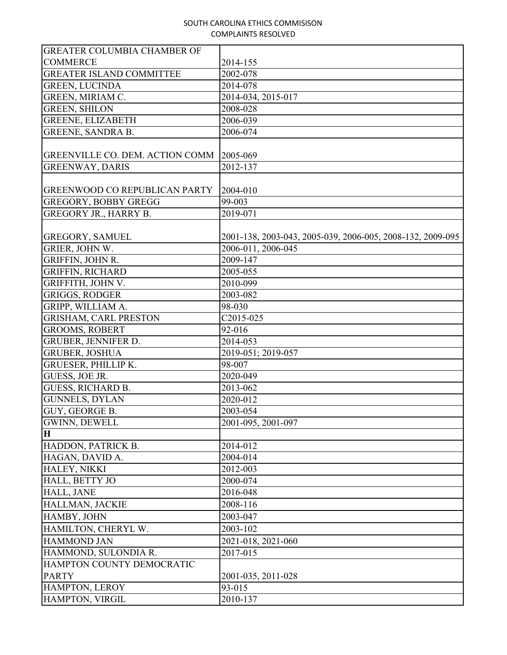| <b>GREATER COLUMBIA CHAMBER OF</b>   |                                                            |
|--------------------------------------|------------------------------------------------------------|
| <b>COMMERCE</b>                      | 2014-155                                                   |
| <b>GREATER ISLAND COMMITTEE</b>      | 2002-078                                                   |
| <b>GREEN, LUCINDA</b>                | 2014-078                                                   |
| GREEN, MIRIAM C.                     | 2014-034, 2015-017                                         |
| <b>GREEN, SHILON</b>                 | 2008-028                                                   |
| <b>GREENE, ELIZABETH</b>             | 2006-039                                                   |
| <b>GREENE, SANDRA B.</b>             | 2006-074                                                   |
|                                      |                                                            |
| GREENVILLE CO. DEM. ACTION COMM      | 2005-069                                                   |
| <b>GREENWAY, DARIS</b>               | 2012-137                                                   |
|                                      |                                                            |
| <b>GREENWOOD CO REPUBLICAN PARTY</b> | 2004-010                                                   |
| <b>GREGORY, BOBBY GREGG</b>          | 99-003                                                     |
| GREGORY JR., HARRY B.                | 2019-071                                                   |
|                                      |                                                            |
| <b>GREGORY, SAMUEL</b>               | 2001-138, 2003-043, 2005-039, 2006-005, 2008-132, 2009-095 |
| GRIER, JOHN W.                       | 2006-011, 2006-045                                         |
| GRIFFIN, JOHN R.                     | 2009-147                                                   |
| <b>GRIFFIN, RICHARD</b>              | 2005-055                                                   |
| GRIFFITH, JOHN V.                    | 2010-099                                                   |
| <b>GRIGGS, RODGER</b>                | 2003-082                                                   |
| GRIPP, WILLIAM A.                    | 98-030                                                     |
| <b>GRISHAM, CARL PRESTON</b>         | C2015-025                                                  |
| <b>GROOMS, ROBERT</b>                | 92-016                                                     |
| GRUBER, JENNIFER D.                  | 2014-053                                                   |
| <b>GRUBER, JOSHUA</b>                | 2019-051; 2019-057                                         |
| <b>GRUESER, PHILLIP K.</b>           | 98-007                                                     |
| GUESS, JOE JR.                       | 2020-049                                                   |
| <b>GUESS, RICHARD B.</b>             | 2013-062                                                   |
| <b>GUNNELS, DYLAN</b>                | 2020-012                                                   |
| GUY, GEORGE B.                       | 2003-054                                                   |
| <b>GWINN, DEWELL</b>                 | 2001-095, 2001-097                                         |
| $\overline{\mathbf{H}}$              |                                                            |
| HADDON, PATRICK B.                   | 2014-012                                                   |
| HAGAN, DAVID A.                      | 2004-014                                                   |
| HALEY, NIKKI                         | 2012-003                                                   |
| HALL, BETTY JO                       | 2000-074                                                   |
| HALL, JANE                           | 2016-048                                                   |
| HALLMAN, JACKIE                      | 2008-116                                                   |
| HAMBY, JOHN                          | 2003-047                                                   |
| HAMILTON, CHERYL W.                  | 2003-102                                                   |
| <b>HAMMOND JAN</b>                   | 2021-018, 2021-060                                         |
| HAMMOND, SULONDIA R.                 | 2017-015                                                   |
| HAMPTON COUNTY DEMOCRATIC            |                                                            |
| <b>PARTY</b>                         | 2001-035, 2011-028                                         |
| HAMPTON, LEROY                       | 93-015                                                     |
| HAMPTON, VIRGIL                      | 2010-137                                                   |
|                                      |                                                            |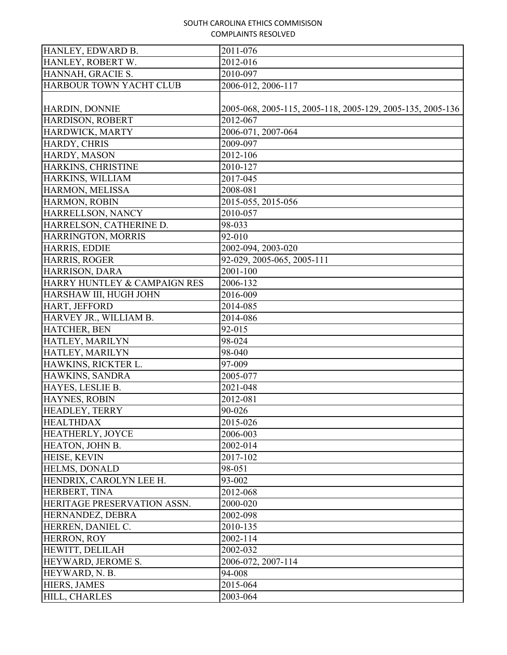| HANLEY, EDWARD B.            | 2011-076                                                   |
|------------------------------|------------------------------------------------------------|
| HANLEY, ROBERT W.            | 2012-016                                                   |
| HANNAH, GRACIE S.            | 2010-097                                                   |
| HARBOUR TOWN YACHT CLUB      | 2006-012, 2006-117                                         |
|                              |                                                            |
| HARDIN, DONNIE               | 2005-068, 2005-115, 2005-118, 2005-129, 2005-135, 2005-136 |
| HARDISON, ROBERT             | 2012-067                                                   |
| HARDWICK, MARTY              | 2006-071, 2007-064                                         |
| HARDY, CHRIS                 | 2009-097                                                   |
| HARDY, MASON                 | 2012-106                                                   |
| HARKINS, CHRISTINE           | 2010-127                                                   |
| HARKINS, WILLIAM             | 2017-045                                                   |
| HARMON, MELISSA              | 2008-081                                                   |
| HARMON, ROBIN                | 2015-055, 2015-056                                         |
| HARRELLSON, NANCY            | 2010-057                                                   |
| HARRELSON, CATHERINE D.      | 98-033                                                     |
| HARRINGTON, MORRIS           | 92-010                                                     |
| HARRIS, EDDIE                | 2002-094, 2003-020                                         |
| HARRIS, ROGER                | 92-029, 2005-065, 2005-111                                 |
| HARRISON, DARA               | 2001-100                                                   |
| HARRY HUNTLEY & CAMPAIGN RES | 2006-132                                                   |
| HARSHAW III, HUGH JOHN       | 2016-009                                                   |
| HART, JEFFORD                | 2014-085                                                   |
| HARVEY JR., WILLIAM B.       | 2014-086                                                   |
| HATCHER, BEN                 | 92-015                                                     |
| HATLEY, MARILYN              | 98-024                                                     |
| HATLEY, MARILYN              | 98-040                                                     |
| HAWKINS, RICKTER L.          | 97-009                                                     |
| HAWKINS, SANDRA              | 2005-077                                                   |
| HAYES, LESLIE B.             | 2021-048                                                   |
| HAYNES, ROBIN                | 2012-081                                                   |
| <b>HEADLEY, TERRY</b>        | 90-026                                                     |
| <b>HEALTHDAX</b>             | 2015-026                                                   |
| HEATHERLY, JOYCE             | 2006-003                                                   |
| HEATON, JOHN B.              | 2002-014                                                   |
| HEISE, KEVIN                 | 2017-102                                                   |
| <b>HELMS, DONALD</b>         | 98-051                                                     |
| HENDRIX, CAROLYN LEE H.      | 93-002                                                     |
| HERBERT, TINA                | 2012-068                                                   |
| HERITAGE PRESERVATION ASSN.  | 2000-020                                                   |
| HERNANDEZ, DEBRA             | 2002-098                                                   |
| HERREN, DANIEL C.            | 2010-135                                                   |
| HERRON, ROY                  | 2002-114                                                   |
| HEWITT, DELILAH              | 2002-032                                                   |
| HEYWARD, JEROME S.           | 2006-072, 2007-114                                         |
| HEYWARD, N. B.               | 94-008                                                     |
| HIERS, JAMES                 | 2015-064                                                   |
| HILL, CHARLES                | 2003-064                                                   |
|                              |                                                            |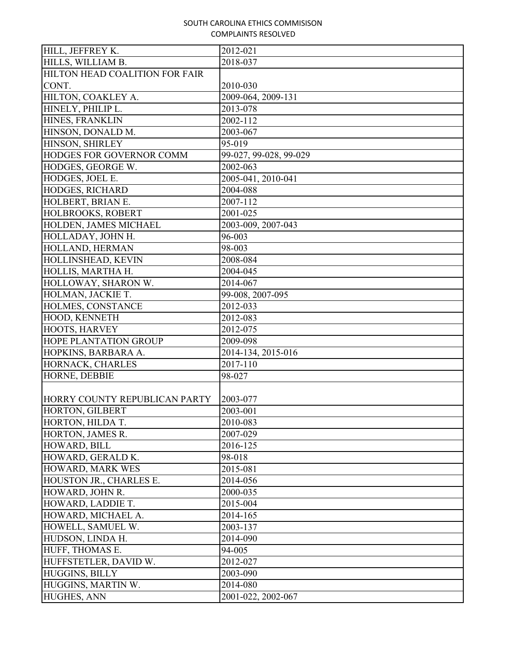| HILLS, WILLIAM B.<br>2018-037<br>HILTON HEAD COALITION FOR FAIR<br>CONT.<br>2010-030<br>HILTON, COAKLEY A.<br>2009-064, 2009-131<br>HINELY, PHILIP L.<br>2013-078<br>HINES, FRANKLIN<br>2002-112<br>HINSON, DONALD M.<br>2003-067<br>HINSON, SHIRLEY<br>95-019<br>HODGES FOR GOVERNOR COMM<br>99-027, 99-028, 99-029<br>HODGES, GEORGE W.<br>2002-063<br>HODGES, JOEL E.<br>2005-041, 2010-041<br>HODGES, RICHARD<br>2004-088<br>HOLBERT, BRIAN E.<br>2007-112<br>HOLBROOKS, ROBERT<br>2001-025<br>HOLDEN, JAMES MICHAEL<br>2003-009, 2007-043<br>96-003<br>HOLLADAY, JOHN H.<br>HOLLAND, HERMAN<br>98-003<br>HOLLINSHEAD, KEVIN<br>2008-084<br>HOLLIS, MARTHA H.<br>2004-045<br>HOLLOWAY, SHARON W.<br>2014-067<br>99-008, 2007-095<br>HOLMAN, JACKIE T.<br>HOLMES, CONSTANCE<br>2012-033<br>HOOD, KENNETH<br>2012-083<br>HOOTS, HARVEY<br>2012-075<br><b>HOPE PLANTATION GROUP</b><br>2009-098<br>2014-134, 2015-016<br>HOPKINS, BARBARA A.<br>2017-110<br>HORNACK, CHARLES<br>HORNE, DEBBIE<br>98-027<br>HORRY COUNTY REPUBLICAN PARTY<br>2003-077<br>HORTON, GILBERT<br>2003-001<br>HORTON, HILDA T.<br>2010-083<br>HORTON, JAMES R.<br>2007-029<br>HOWARD, BILL<br>2016-125<br>HOWARD, GERALD K.<br>98-018<br>HOWARD, MARK WES<br>2015-081<br>HOUSTON JR., CHARLES E.<br>2014-056<br>HOWARD, JOHN R.<br>2000-035<br>HOWARD, LADDIE T.<br>2015-004<br>HOWARD, MICHAEL A.<br>2014-165<br>HOWELL, SAMUEL W.<br>2003-137<br>HUDSON, LINDA H.<br>2014-090<br>HUFF, THOMAS E.<br>94-005<br>HUFFSTETLER, DAVID W.<br>2012-027<br>HUGGINS, BILLY<br>2003-090<br>HUGGINS, MARTIN W.<br>2014-080 | HILL, JEFFREY K. | 2012-021 |
|---------------------------------------------------------------------------------------------------------------------------------------------------------------------------------------------------------------------------------------------------------------------------------------------------------------------------------------------------------------------------------------------------------------------------------------------------------------------------------------------------------------------------------------------------------------------------------------------------------------------------------------------------------------------------------------------------------------------------------------------------------------------------------------------------------------------------------------------------------------------------------------------------------------------------------------------------------------------------------------------------------------------------------------------------------------------------------------------------------------------------------------------------------------------------------------------------------------------------------------------------------------------------------------------------------------------------------------------------------------------------------------------------------------------------------------------------------------------------------------------------------------------------------------------------------------------------------------------|------------------|----------|
|                                                                                                                                                                                                                                                                                                                                                                                                                                                                                                                                                                                                                                                                                                                                                                                                                                                                                                                                                                                                                                                                                                                                                                                                                                                                                                                                                                                                                                                                                                                                                                                             |                  |          |
|                                                                                                                                                                                                                                                                                                                                                                                                                                                                                                                                                                                                                                                                                                                                                                                                                                                                                                                                                                                                                                                                                                                                                                                                                                                                                                                                                                                                                                                                                                                                                                                             |                  |          |
|                                                                                                                                                                                                                                                                                                                                                                                                                                                                                                                                                                                                                                                                                                                                                                                                                                                                                                                                                                                                                                                                                                                                                                                                                                                                                                                                                                                                                                                                                                                                                                                             |                  |          |
|                                                                                                                                                                                                                                                                                                                                                                                                                                                                                                                                                                                                                                                                                                                                                                                                                                                                                                                                                                                                                                                                                                                                                                                                                                                                                                                                                                                                                                                                                                                                                                                             |                  |          |
|                                                                                                                                                                                                                                                                                                                                                                                                                                                                                                                                                                                                                                                                                                                                                                                                                                                                                                                                                                                                                                                                                                                                                                                                                                                                                                                                                                                                                                                                                                                                                                                             |                  |          |
|                                                                                                                                                                                                                                                                                                                                                                                                                                                                                                                                                                                                                                                                                                                                                                                                                                                                                                                                                                                                                                                                                                                                                                                                                                                                                                                                                                                                                                                                                                                                                                                             |                  |          |
|                                                                                                                                                                                                                                                                                                                                                                                                                                                                                                                                                                                                                                                                                                                                                                                                                                                                                                                                                                                                                                                                                                                                                                                                                                                                                                                                                                                                                                                                                                                                                                                             |                  |          |
|                                                                                                                                                                                                                                                                                                                                                                                                                                                                                                                                                                                                                                                                                                                                                                                                                                                                                                                                                                                                                                                                                                                                                                                                                                                                                                                                                                                                                                                                                                                                                                                             |                  |          |
|                                                                                                                                                                                                                                                                                                                                                                                                                                                                                                                                                                                                                                                                                                                                                                                                                                                                                                                                                                                                                                                                                                                                                                                                                                                                                                                                                                                                                                                                                                                                                                                             |                  |          |
|                                                                                                                                                                                                                                                                                                                                                                                                                                                                                                                                                                                                                                                                                                                                                                                                                                                                                                                                                                                                                                                                                                                                                                                                                                                                                                                                                                                                                                                                                                                                                                                             |                  |          |
|                                                                                                                                                                                                                                                                                                                                                                                                                                                                                                                                                                                                                                                                                                                                                                                                                                                                                                                                                                                                                                                                                                                                                                                                                                                                                                                                                                                                                                                                                                                                                                                             |                  |          |
|                                                                                                                                                                                                                                                                                                                                                                                                                                                                                                                                                                                                                                                                                                                                                                                                                                                                                                                                                                                                                                                                                                                                                                                                                                                                                                                                                                                                                                                                                                                                                                                             |                  |          |
|                                                                                                                                                                                                                                                                                                                                                                                                                                                                                                                                                                                                                                                                                                                                                                                                                                                                                                                                                                                                                                                                                                                                                                                                                                                                                                                                                                                                                                                                                                                                                                                             |                  |          |
|                                                                                                                                                                                                                                                                                                                                                                                                                                                                                                                                                                                                                                                                                                                                                                                                                                                                                                                                                                                                                                                                                                                                                                                                                                                                                                                                                                                                                                                                                                                                                                                             |                  |          |
|                                                                                                                                                                                                                                                                                                                                                                                                                                                                                                                                                                                                                                                                                                                                                                                                                                                                                                                                                                                                                                                                                                                                                                                                                                                                                                                                                                                                                                                                                                                                                                                             |                  |          |
|                                                                                                                                                                                                                                                                                                                                                                                                                                                                                                                                                                                                                                                                                                                                                                                                                                                                                                                                                                                                                                                                                                                                                                                                                                                                                                                                                                                                                                                                                                                                                                                             |                  |          |
|                                                                                                                                                                                                                                                                                                                                                                                                                                                                                                                                                                                                                                                                                                                                                                                                                                                                                                                                                                                                                                                                                                                                                                                                                                                                                                                                                                                                                                                                                                                                                                                             |                  |          |
|                                                                                                                                                                                                                                                                                                                                                                                                                                                                                                                                                                                                                                                                                                                                                                                                                                                                                                                                                                                                                                                                                                                                                                                                                                                                                                                                                                                                                                                                                                                                                                                             |                  |          |
|                                                                                                                                                                                                                                                                                                                                                                                                                                                                                                                                                                                                                                                                                                                                                                                                                                                                                                                                                                                                                                                                                                                                                                                                                                                                                                                                                                                                                                                                                                                                                                                             |                  |          |
|                                                                                                                                                                                                                                                                                                                                                                                                                                                                                                                                                                                                                                                                                                                                                                                                                                                                                                                                                                                                                                                                                                                                                                                                                                                                                                                                                                                                                                                                                                                                                                                             |                  |          |
|                                                                                                                                                                                                                                                                                                                                                                                                                                                                                                                                                                                                                                                                                                                                                                                                                                                                                                                                                                                                                                                                                                                                                                                                                                                                                                                                                                                                                                                                                                                                                                                             |                  |          |
|                                                                                                                                                                                                                                                                                                                                                                                                                                                                                                                                                                                                                                                                                                                                                                                                                                                                                                                                                                                                                                                                                                                                                                                                                                                                                                                                                                                                                                                                                                                                                                                             |                  |          |
|                                                                                                                                                                                                                                                                                                                                                                                                                                                                                                                                                                                                                                                                                                                                                                                                                                                                                                                                                                                                                                                                                                                                                                                                                                                                                                                                                                                                                                                                                                                                                                                             |                  |          |
|                                                                                                                                                                                                                                                                                                                                                                                                                                                                                                                                                                                                                                                                                                                                                                                                                                                                                                                                                                                                                                                                                                                                                                                                                                                                                                                                                                                                                                                                                                                                                                                             |                  |          |
|                                                                                                                                                                                                                                                                                                                                                                                                                                                                                                                                                                                                                                                                                                                                                                                                                                                                                                                                                                                                                                                                                                                                                                                                                                                                                                                                                                                                                                                                                                                                                                                             |                  |          |
|                                                                                                                                                                                                                                                                                                                                                                                                                                                                                                                                                                                                                                                                                                                                                                                                                                                                                                                                                                                                                                                                                                                                                                                                                                                                                                                                                                                                                                                                                                                                                                                             |                  |          |
|                                                                                                                                                                                                                                                                                                                                                                                                                                                                                                                                                                                                                                                                                                                                                                                                                                                                                                                                                                                                                                                                                                                                                                                                                                                                                                                                                                                                                                                                                                                                                                                             |                  |          |
|                                                                                                                                                                                                                                                                                                                                                                                                                                                                                                                                                                                                                                                                                                                                                                                                                                                                                                                                                                                                                                                                                                                                                                                                                                                                                                                                                                                                                                                                                                                                                                                             |                  |          |
|                                                                                                                                                                                                                                                                                                                                                                                                                                                                                                                                                                                                                                                                                                                                                                                                                                                                                                                                                                                                                                                                                                                                                                                                                                                                                                                                                                                                                                                                                                                                                                                             |                  |          |
|                                                                                                                                                                                                                                                                                                                                                                                                                                                                                                                                                                                                                                                                                                                                                                                                                                                                                                                                                                                                                                                                                                                                                                                                                                                                                                                                                                                                                                                                                                                                                                                             |                  |          |
|                                                                                                                                                                                                                                                                                                                                                                                                                                                                                                                                                                                                                                                                                                                                                                                                                                                                                                                                                                                                                                                                                                                                                                                                                                                                                                                                                                                                                                                                                                                                                                                             |                  |          |
|                                                                                                                                                                                                                                                                                                                                                                                                                                                                                                                                                                                                                                                                                                                                                                                                                                                                                                                                                                                                                                                                                                                                                                                                                                                                                                                                                                                                                                                                                                                                                                                             |                  |          |
|                                                                                                                                                                                                                                                                                                                                                                                                                                                                                                                                                                                                                                                                                                                                                                                                                                                                                                                                                                                                                                                                                                                                                                                                                                                                                                                                                                                                                                                                                                                                                                                             |                  |          |
|                                                                                                                                                                                                                                                                                                                                                                                                                                                                                                                                                                                                                                                                                                                                                                                                                                                                                                                                                                                                                                                                                                                                                                                                                                                                                                                                                                                                                                                                                                                                                                                             |                  |          |
|                                                                                                                                                                                                                                                                                                                                                                                                                                                                                                                                                                                                                                                                                                                                                                                                                                                                                                                                                                                                                                                                                                                                                                                                                                                                                                                                                                                                                                                                                                                                                                                             |                  |          |
|                                                                                                                                                                                                                                                                                                                                                                                                                                                                                                                                                                                                                                                                                                                                                                                                                                                                                                                                                                                                                                                                                                                                                                                                                                                                                                                                                                                                                                                                                                                                                                                             |                  |          |
|                                                                                                                                                                                                                                                                                                                                                                                                                                                                                                                                                                                                                                                                                                                                                                                                                                                                                                                                                                                                                                                                                                                                                                                                                                                                                                                                                                                                                                                                                                                                                                                             |                  |          |
|                                                                                                                                                                                                                                                                                                                                                                                                                                                                                                                                                                                                                                                                                                                                                                                                                                                                                                                                                                                                                                                                                                                                                                                                                                                                                                                                                                                                                                                                                                                                                                                             |                  |          |
|                                                                                                                                                                                                                                                                                                                                                                                                                                                                                                                                                                                                                                                                                                                                                                                                                                                                                                                                                                                                                                                                                                                                                                                                                                                                                                                                                                                                                                                                                                                                                                                             |                  |          |
|                                                                                                                                                                                                                                                                                                                                                                                                                                                                                                                                                                                                                                                                                                                                                                                                                                                                                                                                                                                                                                                                                                                                                                                                                                                                                                                                                                                                                                                                                                                                                                                             |                  |          |
|                                                                                                                                                                                                                                                                                                                                                                                                                                                                                                                                                                                                                                                                                                                                                                                                                                                                                                                                                                                                                                                                                                                                                                                                                                                                                                                                                                                                                                                                                                                                                                                             |                  |          |
|                                                                                                                                                                                                                                                                                                                                                                                                                                                                                                                                                                                                                                                                                                                                                                                                                                                                                                                                                                                                                                                                                                                                                                                                                                                                                                                                                                                                                                                                                                                                                                                             |                  |          |
|                                                                                                                                                                                                                                                                                                                                                                                                                                                                                                                                                                                                                                                                                                                                                                                                                                                                                                                                                                                                                                                                                                                                                                                                                                                                                                                                                                                                                                                                                                                                                                                             |                  |          |
|                                                                                                                                                                                                                                                                                                                                                                                                                                                                                                                                                                                                                                                                                                                                                                                                                                                                                                                                                                                                                                                                                                                                                                                                                                                                                                                                                                                                                                                                                                                                                                                             |                  |          |
|                                                                                                                                                                                                                                                                                                                                                                                                                                                                                                                                                                                                                                                                                                                                                                                                                                                                                                                                                                                                                                                                                                                                                                                                                                                                                                                                                                                                                                                                                                                                                                                             |                  |          |
|                                                                                                                                                                                                                                                                                                                                                                                                                                                                                                                                                                                                                                                                                                                                                                                                                                                                                                                                                                                                                                                                                                                                                                                                                                                                                                                                                                                                                                                                                                                                                                                             |                  |          |
| 2001-022, 2002-067                                                                                                                                                                                                                                                                                                                                                                                                                                                                                                                                                                                                                                                                                                                                                                                                                                                                                                                                                                                                                                                                                                                                                                                                                                                                                                                                                                                                                                                                                                                                                                          | HUGHES, ANN      |          |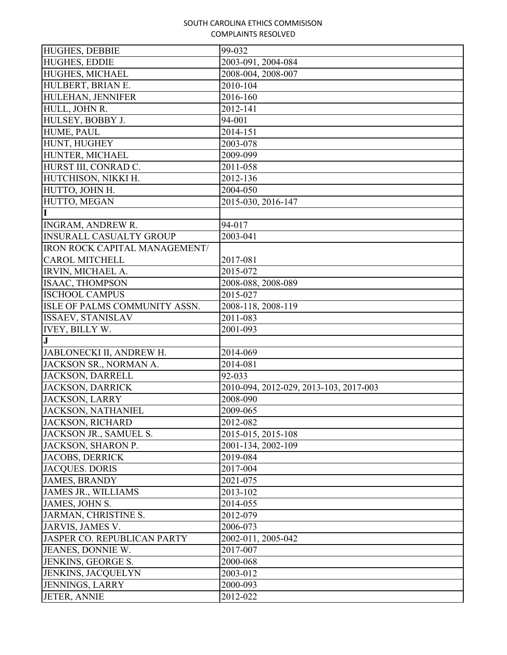| <b>HUGHES, DEBBIE</b>          | 99-032                                 |
|--------------------------------|----------------------------------------|
| <b>HUGHES, EDDIE</b>           | 2003-091, 2004-084                     |
| HUGHES, MICHAEL                | 2008-004, 2008-007                     |
| HULBERT, BRIAN E.              | 2010-104                               |
| HULEHAN, JENNIFER              | 2016-160                               |
| HULL, JOHN R.                  | 2012-141                               |
| HULSEY, BOBBY J.               | 94-001                                 |
| HUME, PAUL                     | 2014-151                               |
| HUNT, HUGHEY                   | 2003-078                               |
| HUNTER, MICHAEL                | 2009-099                               |
| HURST III, CONRAD C.           | 2011-058                               |
| HUTCHISON, NIKKI H.            | 2012-136                               |
| HUTTO, JOHN H.                 | 2004-050                               |
| HUTTO, MEGAN                   | 2015-030, 2016-147                     |
| I                              |                                        |
| <b>INGRAM, ANDREW R.</b>       | 94-017                                 |
| <b>INSURALL CASUALTY GROUP</b> | 2003-041                               |
| IRON ROCK CAPITAL MANAGEMENT/  |                                        |
| <b>CAROL MITCHELL</b>          | 2017-081                               |
| IRVIN, MICHAEL A.              | 2015-072                               |
| <b>ISAAC, THOMPSON</b>         | 2008-088, 2008-089                     |
| <b>ISCHOOL CAMPUS</b>          | 2015-027                               |
| ISLE OF PALMS COMMUNITY ASSN.  | 2008-118, 2008-119                     |
| ISSAEV, STANISLAV              | 2011-083                               |
| <b>IVEY, BILLY W.</b>          | 2001-093                               |
| $\mathbf{J}$                   |                                        |
| JABLONECKI II, ANDREW H.       | 2014-069                               |
| JACKSON SR., NORMAN A.         | 2014-081                               |
| <b>JACKSON, DARRELL</b>        | 92-033                                 |
| <b>JACKSON, DARRICK</b>        | 2010-094, 2012-029, 2013-103, 2017-003 |
| <b>JACKSON, LARRY</b>          | 2008-090                               |
| JACKSON, NATHANIEL             | 2009-065                               |
| <b>JACKSON, RICHARD</b>        | 2012-082                               |
| JACKSON JR., SAMUEL S.         | 2015-015, 2015-108                     |
| JACKSON, SHARON P.             | 2001-134, 2002-109                     |
| <b>JACOBS, DERRICK</b>         | 2019-084                               |
| <b>JACQUES. DORIS</b>          | 2017-004                               |
| <b>JAMES, BRANDY</b>           | 2021-075                               |
| <b>JAMES JR., WILLIAMS</b>     | 2013-102                               |
| JAMES, JOHN S.                 | 2014-055                               |
| JARMAN, CHRISTINE S.           | 2012-079                               |
| JARVIS, JAMES V.               | 2006-073                               |
| JASPER CO. REPUBLICAN PARTY    | 2002-011, 2005-042                     |
| JEANES, DONNIE W.              | 2017-007                               |
| JENKINS, GEORGE S.             |                                        |
|                                | 2000-068                               |
| JENKINS, JACQUELYN             | 2003-012                               |
| <b>JENNINGS, LARRY</b>         | 2000-093                               |
| <b>JETER, ANNIE</b>            | 2012-022                               |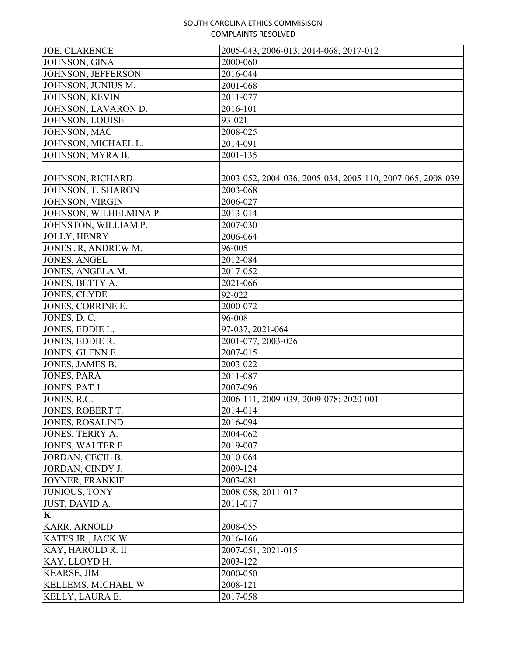| <b>JOE, CLARENCE</b>   | 2005-043, 2006-013, 2014-068, 2017-012                     |
|------------------------|------------------------------------------------------------|
| JOHNSON, GINA          | 2000-060                                                   |
| JOHNSON, JEFFERSON     | 2016-044                                                   |
| JOHNSON, JUNIUS M.     | 2001-068                                                   |
| JOHNSON, KEVIN         | 2011-077                                                   |
| JOHNSON, LAVARON D.    | 2016-101                                                   |
| JOHNSON, LOUISE        | 93-021                                                     |
| JOHNSON, MAC           | 2008-025                                                   |
| JOHNSON, MICHAEL L.    | 2014-091                                                   |
| JOHNSON, MYRA B.       | 2001-135                                                   |
| JOHNSON, RICHARD       | 2003-052, 2004-036, 2005-034, 2005-110, 2007-065, 2008-039 |
| JOHNSON, T. SHARON     | 2003-068                                                   |
| JOHNSON, VIRGIN        | 2006-027                                                   |
| JOHNSON, WILHELMINA P. | 2013-014                                                   |
| JOHNSTON, WILLIAM P.   | 2007-030                                                   |
| JOLLY, HENRY           | 2006-064                                                   |
| JONES JR, ANDREW M.    | 96-005                                                     |
| <b>JONES, ANGEL</b>    | 2012-084                                                   |
| JONES, ANGELA M.       | 2017-052                                                   |
| JONES, BETTY A.        | 2021-066                                                   |
| JONES, CLYDE           | 92-022                                                     |
| JONES, CORRINE E.      | 2000-072                                                   |
| JONES, D. C.           | 96-008                                                     |
| JONES, EDDIE L.        | 97-037, 2021-064                                           |
| JONES, EDDIE R.        | 2001-077, 2003-026                                         |
| JONES, GLENN E.        | 2007-015                                                   |
| JONES, JAMES B.        | 2003-022                                                   |
| <b>JONES, PARA</b>     | 2011-087                                                   |
| JONES, PAT J.          | 2007-096                                                   |
| JONES, R.C.            | 2006-111, 2009-039, 2009-078; 2020-001                     |
| JONES, ROBERT T.       | 2014-014                                                   |
| <b>JONES, ROSALIND</b> | 2016-094                                                   |
| JONES, TERRY A.        | 2004-062                                                   |
| JONES, WALTER F.       | 2019-007                                                   |
| JORDAN, CECIL B.       | 2010-064                                                   |
| JORDAN, CINDY J.       | 2009-124                                                   |
| <b>JOYNER, FRANKIE</b> | 2003-081                                                   |
| JUNIOUS, TONY          | 2008-058, 2011-017                                         |
| JUST, DAVID A.         | 2011-017                                                   |
| $\mathbf K$            |                                                            |
| KARR, ARNOLD           | 2008-055                                                   |
| KATES JR., JACK W.     | 2016-166                                                   |
| KAY, HAROLD R. II      | 2007-051, 2021-015                                         |
| KAY, LLOYD H.          | 2003-122                                                   |
| <b>KEARSE, JIM</b>     | 2000-050                                                   |
| KELLEMS, MICHAEL W.    | 2008-121                                                   |
| KELLY, LAURA E.        | 2017-058                                                   |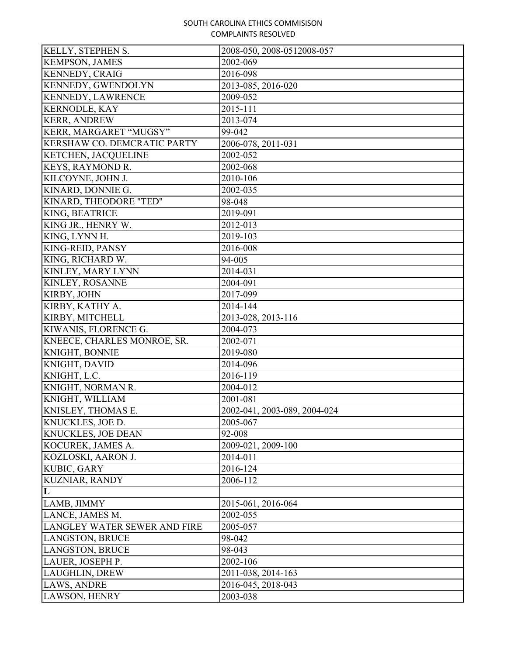| <b>KELLY, STEPHEN S.</b>     | 2008-050, 2008-0512008-057   |
|------------------------------|------------------------------|
| <b>KEMPSON, JAMES</b>        | 2002-069                     |
| <b>KENNEDY, CRAIG</b>        | 2016-098                     |
| <b>KENNEDY, GWENDOLYN</b>    | 2013-085, 2016-020           |
| KENNEDY, LAWRENCE            | 2009-052                     |
| <b>KERNODLE, KAY</b>         | 2015-111                     |
| <b>KERR, ANDREW</b>          | 2013-074                     |
| KERR, MARGARET "MUGSY"       | 99-042                       |
| KERSHAW CO. DEMCRATIC PARTY  | 2006-078, 2011-031           |
| KETCHEN, JACQUELINE          | 2002-052                     |
| KEYS, RAYMOND R.             | 2002-068                     |
| KILCOYNE, JOHN J.            | 2010-106                     |
| KINARD, DONNIE G.            | 2002-035                     |
| KINARD, THEODORE "TED"       | 98-048                       |
| KING, BEATRICE               | 2019-091                     |
| KING JR., HENRY W.           | 2012-013                     |
| KING, LYNN H.                | 2019-103                     |
| KING-REID, PANSY             | 2016-008                     |
| KING, RICHARD W.             | 94-005                       |
| KINLEY, MARY LYNN            | 2014-031                     |
| KINLEY, ROSANNE              | 2004-091                     |
| KIRBY, JOHN                  | 2017-099                     |
| KIRBY, KATHY A.              | 2014-144                     |
| KIRBY, MITCHELL              | 2013-028, 2013-116           |
| KIWANIS, FLORENCE G.         | 2004-073                     |
| KNEECE, CHARLES MONROE, SR.  | 2002-071                     |
| KNIGHT, BONNIE               | 2019-080                     |
| KNIGHT, DAVID                | 2014-096                     |
| KNIGHT, L.C.                 | 2016-119                     |
| KNIGHT, NORMAN R.            | 2004-012                     |
| KNIGHT, WILLIAM              | 2001-081                     |
| KNISLEY, THOMAS E.           | 2002-041, 2003-089, 2004-024 |
| KNUCKLES, JOE D.             | 2005-067                     |
| <b>KNUCKLES, JOE DEAN</b>    | 92-008                       |
| KOCUREK, JAMES A.            | 2009-021, 2009-100           |
| KOZLOSKI, AARON J.           | 2014-011                     |
| KUBIC, GARY                  | 2016-124                     |
| <b>KUZNIAR, RANDY</b>        | 2006-112                     |
| L                            |                              |
| LAMB, JIMMY                  | 2015-061, 2016-064           |
| LANCE, JAMES M.              | 2002-055                     |
| LANGLEY WATER SEWER AND FIRE | 2005-057                     |
| <b>LANGSTON, BRUCE</b>       | 98-042                       |
| <b>LANGSTON, BRUCE</b>       | 98-043                       |
| LAUER, JOSEPH P.             | 2002-106                     |
| LAUGHLIN, DREW               | 2011-038, 2014-163           |
| <b>LAWS, ANDRE</b>           | 2016-045, 2018-043           |
| LAWSON, HENRY                | 2003-038                     |
|                              |                              |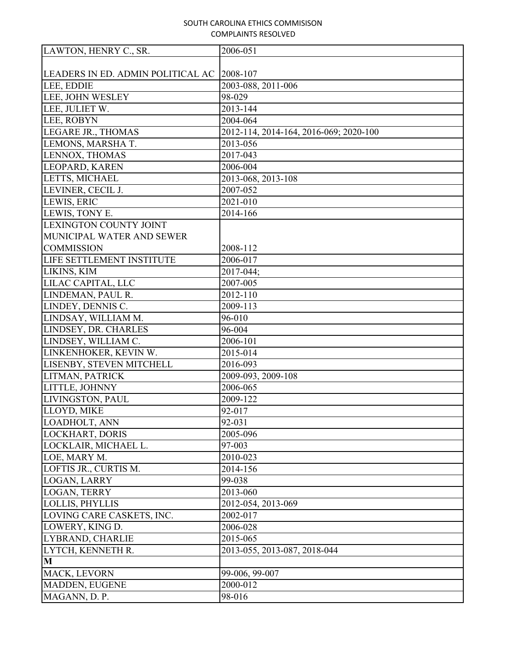| LAWTON, HENRY C., SR.             | 2006-051                               |
|-----------------------------------|----------------------------------------|
|                                   |                                        |
| LEADERS IN ED. ADMIN POLITICAL AC | 2008-107                               |
| LEE, EDDIE                        | 2003-088, 2011-006                     |
| LEE, JOHN WESLEY                  | 98-029                                 |
| LEE, JULIET W.                    | 2013-144                               |
| LEE, ROBYN                        | 2004-064                               |
| LEGARE JR., THOMAS                | 2012-114, 2014-164, 2016-069; 2020-100 |
| LEMONS, MARSHA T.                 | 2013-056                               |
| LENNOX, THOMAS                    | 2017-043                               |
| LEOPARD, KAREN                    | 2006-004                               |
| LETTS, MICHAEL                    | 2013-068, 2013-108                     |
| LEVINER, CECIL J.                 | 2007-052                               |
| LEWIS, ERIC                       | 2021-010                               |
| LEWIS, TONY E.                    | 2014-166                               |
| <b>LEXINGTON COUNTY JOINT</b>     |                                        |
| MUNICIPAL WATER AND SEWER         |                                        |
| <b>COMMISSION</b>                 | 2008-112                               |
| LIFE SETTLEMENT INSTITUTE         | 2006-017                               |
| LIKINS, KIM                       | 2017-044;                              |
| LILAC CAPITAL, LLC                | 2007-005                               |
| LINDEMAN, PAUL R.                 | 2012-110                               |
| LINDEY, DENNIS C.                 | 2009-113                               |
| LINDSAY, WILLIAM M.               | 96-010                                 |
| LINDSEY, DR. CHARLES              | 96-004                                 |
| LINDSEY, WILLIAM C.               | 2006-101                               |
| LINKENHOKER, KEVIN W.             | 2015-014                               |
| LISENBY, STEVEN MITCHELL          | 2016-093                               |
| LITMAN, PATRICK                   | 2009-093, 2009-108                     |
| LITTLE, JOHNNY                    | 2006-065                               |
| LIVINGSTON, PAUL                  | 2009-122                               |
| LLOYD, MIKE                       | 92-017                                 |
| LOADHOLT, ANN                     | 92-031                                 |
| <b>LOCKHART, DORIS</b>            | 2005-096                               |
| LOCKLAIR, MICHAEL L.              | 97-003                                 |
| LOE, MARY M.                      | 2010-023                               |
| LOFTIS JR., CURTIS M.             | 2014-156                               |
| LOGAN, LARRY                      | 99-038                                 |
| LOGAN, TERRY                      | 2013-060                               |
| LOLLIS, PHYLLIS                   | 2012-054, 2013-069                     |
| LOVING CARE CASKETS, INC.         | 2002-017                               |
| LOWERY, KING D.                   | 2006-028                               |
| LYBRAND, CHARLIE                  | 2015-065                               |
| LYTCH, KENNETH R.                 | 2013-055, 2013-087, 2018-044           |
| M                                 |                                        |
| MACK, LEVORN                      | 99-006, 99-007                         |
| MADDEN, EUGENE                    | 2000-012                               |
| MAGANN, D. P.                     | 98-016                                 |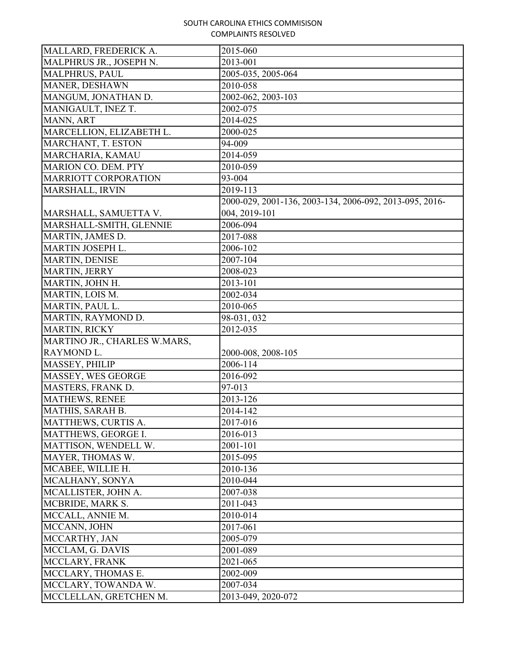| MALLARD, FREDERICK A.        | 2015-060                                                |
|------------------------------|---------------------------------------------------------|
| MALPHRUS JR., JOSEPH N.      | 2013-001                                                |
| <b>MALPHRUS, PAUL</b>        | 2005-035, 2005-064                                      |
| MANER, DESHAWN               | 2010-058                                                |
| MANGUM, JONATHAN D.          | 2002-062, 2003-103                                      |
| MANIGAULT, INEZ T.           | 2002-075                                                |
| MANN, ART                    | 2014-025                                                |
| MARCELLION, ELIZABETH L.     | 2000-025                                                |
| MARCHANT, T. ESTON           | 94-009                                                  |
| MARCHARIA, KAMAU             | $\overline{20}14 - 059$                                 |
| MARION CO. DEM. PTY          | 2010-059                                                |
| MARRIOTT CORPORATION         | 93-004                                                  |
| MARSHALL, IRVIN              | 2019-113                                                |
|                              | 2000-029, 2001-136, 2003-134, 2006-092, 2013-095, 2016- |
| MARSHALL, SAMUETTA V.        | 004, 2019-101                                           |
| MARSHALL-SMITH, GLENNIE      | 2006-094                                                |
| MARTIN, JAMES D.             | 2017-088                                                |
| MARTIN JOSEPH L.             | 2006-102                                                |
| MARTIN, DENISE               | 2007-104                                                |
| MARTIN, JERRY                | 2008-023                                                |
| MARTIN, JOHN H.              | 2013-101                                                |
| MARTIN, LOIS M.              | 2002-034                                                |
| MARTIN, PAUL L.              | 2010-065                                                |
| MARTIN, RAYMOND D.           | 98-031, 032                                             |
| MARTIN, RICKY                | 2012-035                                                |
| MARTINO JR., CHARLES W.MARS, |                                                         |
| RAYMOND L.                   | 2000-008, 2008-105                                      |
| MASSEY, PHILIP               | 2006-114                                                |
| MASSEY, WES GEORGE           | 2016-092                                                |
| MASTERS, FRANK D.            | 97-013                                                  |
| <b>MATHEWS, RENEE</b>        | 2013-126                                                |
| MATHIS, SARAH B.             | 2014-142                                                |
| MATTHEWS, CURTIS A.          | 2017-016                                                |
| MATTHEWS, GEORGE I.          | 2016-013                                                |
| MATTISON, WENDELL W.         | 2001-101                                                |
| MAYER, THOMAS W.             | 2015-095                                                |
| MCABEE, WILLIE H.            | 2010-136                                                |
| MCALHANY, SONYA              | 2010-044                                                |
| MCALLISTER, JOHN A.          | 2007-038                                                |
| MCBRIDE, MARK S.             | 2011-043                                                |
| MCCALL, ANNIE M.             | 2010-014                                                |
| MCCANN, JOHN                 | 2017-061                                                |
| MCCARTHY, JAN                | 2005-079                                                |
| MCCLAM, G. DAVIS             | 2001-089                                                |
| MCCLARY, FRANK               | 2021-065                                                |
| MCCLARY, THOMAS E.           | 2002-009                                                |
| MCCLARY, TOWANDA W.          | 2007-034                                                |
| MCCLELLAN, GRETCHEN M.       | 2013-049, 2020-072                                      |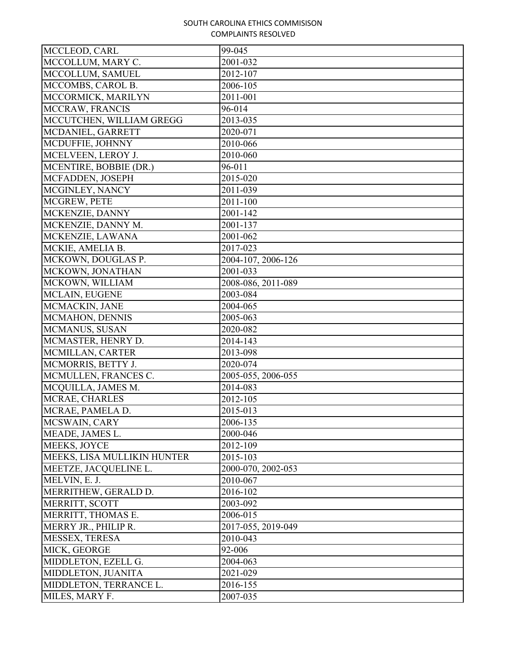| MCCLEOD, CARL               | 99-045             |
|-----------------------------|--------------------|
| MCCOLLUM, MARY C.           | 2001-032           |
| MCCOLLUM, SAMUEL            | 2012-107           |
| MCCOMBS, CAROL B.           | 2006-105           |
| MCCORMICK, MARILYN          | 2011-001           |
| MCCRAW, FRANCIS             | 96-014             |
| MCCUTCHEN, WILLIAM GREGG    | 2013-035           |
| MCDANIEL, GARRETT           | 2020-071           |
| MCDUFFIE, JOHNNY            | 2010-066           |
| MCELVEEN, LEROY J.          | 2010-060           |
| MCENTIRE, BOBBIE (DR.)      | 96-011             |
| MCFADDEN, JOSEPH            | 2015-020           |
| MCGINLEY, NANCY             | 2011-039           |
| MCGREW, PETE                | 2011-100           |
| MCKENZIE, DANNY             | 2001-142           |
| MCKENZIE, DANNY M.          | 2001-137           |
| MCKENZIE, LAWANA            | 2001-062           |
| MCKIE, AMELIA B.            | 2017-023           |
| MCKOWN, DOUGLAS P.          | 2004-107, 2006-126 |
| MCKOWN, JONATHAN            | 2001-033           |
| MCKOWN, WILLIAM             | 2008-086, 2011-089 |
| MCLAIN, EUGENE              | 2003-084           |
| MCMACKIN, JANE              | 2004-065           |
| MCMAHON, DENNIS             | 2005-063           |
| MCMANUS, SUSAN              | 2020-082           |
| MCMASTER, HENRY D.          | 2014-143           |
| MCMILLAN, CARTER            | 2013-098           |
| MCMORRIS, BETTY J.          | 2020-074           |
| MCMULLEN, FRANCES C.        | 2005-055, 2006-055 |
| MCQUILLA, JAMES M.          | 2014-083           |
| MCRAE, CHARLES              | 2012-105           |
| MCRAE, PAMELA D.            | 2015-013           |
| MCSWAIN, CARY               | 2006-135           |
| MEADE, JAMES L.             | 2000-046           |
| MEEKS, JOYCE                | 2012-109           |
| MEEKS, LISA MULLIKIN HUNTER | 2015-103           |
| MEETZE, JACQUELINE L.       | 2000-070, 2002-053 |
| MELVIN, E. J.               | 2010-067           |
| MERRITHEW, GERALD D.        | 2016-102           |
| MERRITT, SCOTT              | 2003-092           |
| MERRITT, THOMAS E.          | 2006-015           |
| MERRY JR., PHILIP R.        | 2017-055, 2019-049 |
| MESSEX, TERESA              | 2010-043           |
| MICK, GEORGE                | 92-006             |
| MIDDLETON, EZELL G.         | 2004-063           |
| MIDDLETON, JUANITA          | 2021-029           |
| MIDDLETON, TERRANCE L.      | 2016-155           |
| MILES, MARY F.              | 2007-035           |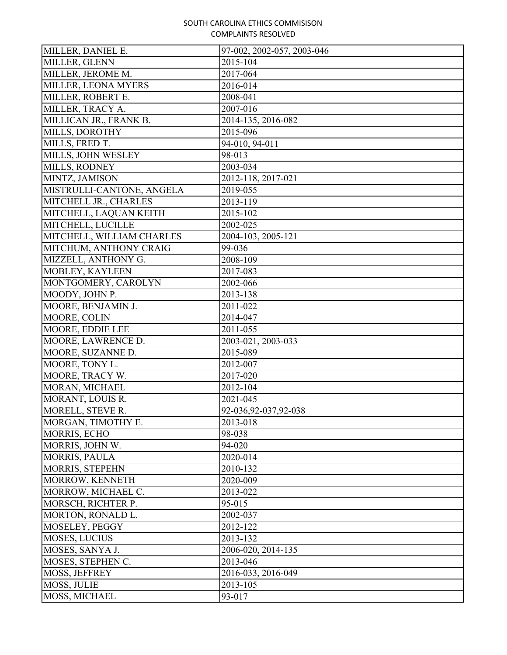| MILLER, DANIEL E.         | 97-002, 2002-057, 2003-046 |
|---------------------------|----------------------------|
| MILLER, GLENN             | 2015-104                   |
| MILLER, JEROME M.         | 2017-064                   |
| MILLER, LEONA MYERS       | 2016-014                   |
| MILLER, ROBERT E.         | 2008-041                   |
| MILLER, TRACY A.          | 2007-016                   |
| MILLICAN JR., FRANK B.    | 2014-135, 2016-082         |
| MILLS, DOROTHY            | 2015-096                   |
| MILLS, FRED T.            | 94-010, 94-011             |
| MILLS, JOHN WESLEY        | 98-013                     |
| MILLS, RODNEY             | 2003-034                   |
| MINTZ, JAMISON            | 2012-118, 2017-021         |
| MISTRULLI-CANTONE, ANGELA | 2019-055                   |
| MITCHELL JR., CHARLES     | 2013-119                   |
| MITCHELL, LAQUAN KEITH    | 2015-102                   |
| MITCHELL, LUCILLE         | 2002-025                   |
| MITCHELL, WILLIAM CHARLES | 2004-103, 2005-121         |
| MITCHUM, ANTHONY CRAIG    | 99-036                     |
| MIZZELL, ANTHONY G.       | 2008-109                   |
| MOBLEY, KAYLEEN           | 2017-083                   |
| MONTGOMERY, CAROLYN       | 2002-066                   |
| MOODY, JOHN P.            | 2013-138                   |
| MOORE, BENJAMIN J.        | 2011-022                   |
| MOORE, COLIN              | 2014-047                   |
| MOORE, EDDIE LEE          | 2011-055                   |
| MOORE, LAWRENCE D.        | 2003-021, 2003-033         |
| MOORE, SUZANNE D.         | 2015-089                   |
| MOORE, TONY L.            | 2012-007                   |
| MOORE, TRACY W.           | 2017-020                   |
| MORAN, MICHAEL            | 2012-104                   |
| MORANT, LOUIS R.          | 2021-045                   |
| MORELL, STEVE R.          | 92-036, 92-037, 92-038     |
| MORGAN, TIMOTHY E.        | 2013-018                   |
| MORRIS, ECHO              | 98-038                     |
| MORRIS, JOHN W.           | 94-020                     |
| <b>MORRIS, PAULA</b>      | 2020-014                   |
| MORRIS, STEPEHN           | 2010-132                   |
| MORROW, KENNETH           | 2020-009                   |
| MORROW, MICHAEL C.        | 2013-022                   |
| MORSCH, RICHTER P.        | 95-015                     |
| MORTON, RONALD L.         | 2002-037                   |
| MOSELEY, PEGGY            | 2012-122                   |
| <b>MOSES, LUCIUS</b>      | 2013-132                   |
| MOSES, SANYA J.           | 2006-020, 2014-135         |
| MOSES, STEPHEN C.         | 2013-046                   |
| MOSS, JEFFREY             | 2016-033, 2016-049         |
| MOSS, JULIE               | 2013-105                   |
| MOSS, MICHAEL             | 93-017                     |
|                           |                            |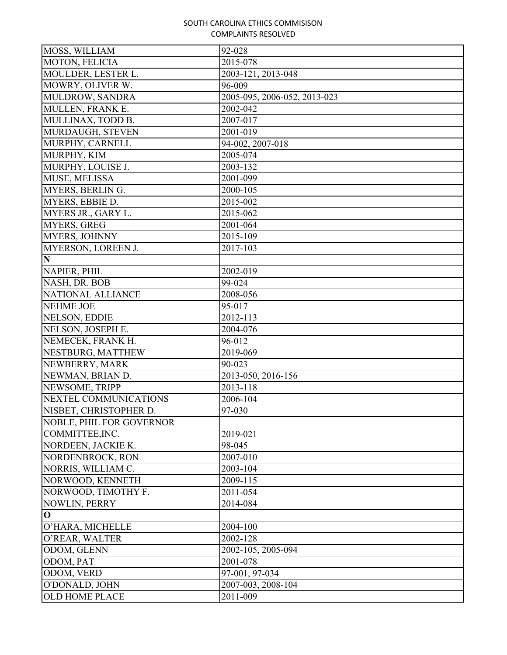| MOSS, WILLIAM                   | 92-028                       |
|---------------------------------|------------------------------|
| MOTON, FELICIA                  | 2015-078                     |
| MOULDER, LESTER L.              | 2003-121, 2013-048           |
| MOWRY, OLIVER W.                | 96-009                       |
| MULDROW, SANDRA                 | 2005-095, 2006-052, 2013-023 |
| MULLEN, FRANK E.                | 2002-042                     |
| MULLINAX, TODD B.               | 2007-017                     |
| MURDAUGH, STEVEN                | 2001-019                     |
| MURPHY, CARNELL                 | 94-002, 2007-018             |
| MURPHY, KIM                     | 2005-074                     |
| MURPHY, LOUISE J.               | 2003-132                     |
| MUSE, MELISSA                   | 2001-099                     |
| MYERS, BERLING.                 | 2000-105                     |
| MYERS, EBBIE D.                 | 2015-002                     |
| MYERS JR., GARY L.              | 2015-062                     |
| <b>MYERS, GREG</b>              | 2001-064                     |
| <b>MYERS, JOHNNY</b>            | 2015-109                     |
| MYERSON, LOREEN J.              | 2017-103                     |
| N                               |                              |
| NAPIER, PHIL                    | 2002-019                     |
| NASH, DR. BOB                   | 99-024                       |
| NATIONAL ALLIANCE               | 2008-056                     |
| <b>NEHME JOE</b>                | 95-017                       |
| NELSON, EDDIE                   | 2012-113                     |
| NELSON, JOSEPH E.               | 2004-076                     |
| NEMECEK, FRANK H.               | 96-012                       |
| NESTBURG, MATTHEW               | 2019-069                     |
| NEWBERRY, MARK                  | 90-023                       |
| NEWMAN, BRIAN D.                | 2013-050, 2016-156           |
| NEWSOME, TRIPP                  | 2013-118                     |
| NEXTEL COMMUNICATIONS           | 2006-104                     |
| NISBET, CHRISTOPHER D.          | 97-030                       |
| <b>NOBLE, PHIL FOR GOVERNOR</b> |                              |
| COMMITTEE, INC.                 | 2019-021                     |
| NORDEEN, JACKIE K.              | 98-045                       |
| NORDENBROCK, RON                | 2007-010                     |
| NORRIS, WILLIAM C.              | 2003-104                     |
| NORWOOD, KENNETH                | 2009-115                     |
| NORWOOD, TIMOTHY F.             | 2011-054                     |
| NOWLIN, PERRY                   | 2014-084                     |
| $\mathbf{O}$                    |                              |
| O'HARA, MICHELLE                | 2004-100                     |
| O'REAR, WALTER                  | 2002-128                     |
| ODOM, GLENN                     | 2002-105, 2005-094           |
| ODOM, PAT                       | 2001-078                     |
| ODOM, VERD                      | 97-001, 97-034               |
| O'DONALD, JOHN                  | 2007-003, 2008-104           |
| <b>OLD HOME PLACE</b>           | 2011-009                     |
|                                 |                              |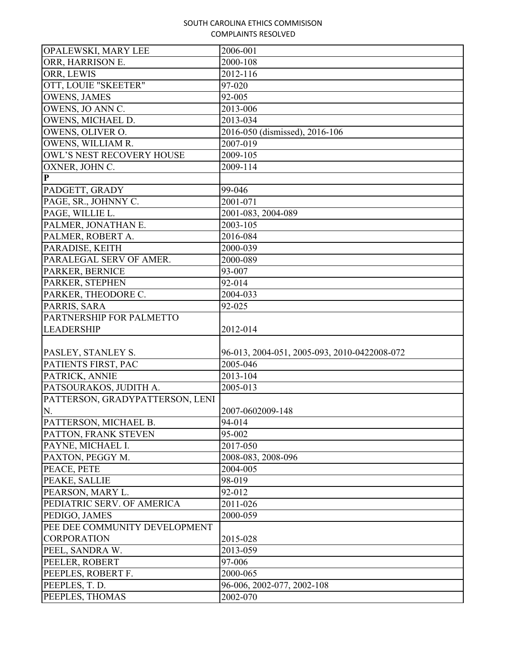| OPALEWSKI, MARY LEE             | 2006-001                                     |
|---------------------------------|----------------------------------------------|
| ORR, HARRISON E.                | 2000-108                                     |
| ORR, LEWIS                      | 2012-116                                     |
| OTT, LOUIE "SKEETER"            | 97-020                                       |
| <b>OWENS, JAMES</b>             | 92-005                                       |
| OWENS, JO ANN C.                | 2013-006                                     |
| OWENS, MICHAEL D.               | 2013-034                                     |
| OWENS, OLIVER O.                | 2016-050 (dismissed), 2016-106               |
| OWENS, WILLIAM R.               | 2007-019                                     |
| OWL'S NEST RECOVERY HOUSE       | 2009-105                                     |
| OXNER, JOHN C.                  | 2009-114                                     |
| $\mathbf{P}$                    |                                              |
| PADGETT, GRADY                  | 99-046                                       |
| PAGE, SR., JOHNNY C.            | 2001-071                                     |
| PAGE, WILLIE L.                 | 2001-083, 2004-089                           |
| PALMER, JONATHAN E.             | 2003-105                                     |
| PALMER, ROBERT A.               | 2016-084                                     |
| PARADISE, KEITH                 | 2000-039                                     |
| PARALEGAL SERV OF AMER.         | 2000-089                                     |
| PARKER, BERNICE                 | 93-007                                       |
| PARKER, STEPHEN                 | 92-014                                       |
| PARKER, THEODORE C.             | 2004-033                                     |
| PARRIS, SARA                    | 92-025                                       |
| PARTNERSHIP FOR PALMETTO        |                                              |
| <b>LEADERSHIP</b>               | 2012-014                                     |
|                                 |                                              |
| PASLEY, STANLEY S.              | 96-013, 2004-051, 2005-093, 2010-0422008-072 |
| PATIENTS FIRST, PAC             | 2005-046                                     |
| PATRICK, ANNIE                  | 2013-104                                     |
| PATSOURAKOS, JUDITH A.          | 2005-013                                     |
| PATTERSON, GRADYPATTERSON, LENI |                                              |
| N.                              | 2007-0602009-148                             |
| PATTERSON, MICHAEL B.           | 94-014                                       |
| PATTON, FRANK STEVEN            | 95-002                                       |
| PAYNE, MICHAEL I.               | 2017-050                                     |
| PAXTON, PEGGY M.                | 2008-083, 2008-096                           |
| PEACE, PETE                     | 2004-005                                     |
| PEAKE, SALLIE                   | 98-019                                       |
| PEARSON, MARY L.                | 92-012                                       |
| PEDIATRIC SERV. OF AMERICA      | 2011-026                                     |
| PEDIGO, JAMES                   | 2000-059                                     |
| PEE DEE COMMUNITY DEVELOPMENT   |                                              |
| <b>CORPORATION</b>              | 2015-028                                     |
| PEEL, SANDRA W.                 | 2013-059                                     |
| PEELER, ROBERT                  | 97-006                                       |
| PEEPLES, ROBERT F.              | 2000-065                                     |
| PEEPLES, T.D.                   | 96-006, 2002-077, 2002-108                   |
| PEEPLES, THOMAS                 | 2002-070                                     |
|                                 |                                              |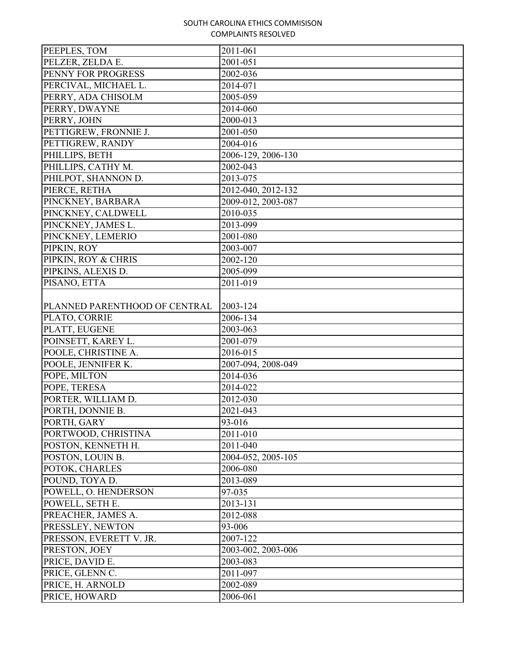| PEEPLES, TOM                  | 2011-061           |
|-------------------------------|--------------------|
| PELZER, ZELDA E.              | 2001-051           |
| PENNY FOR PROGRESS            | 2002-036           |
| PERCIVAL, MICHAEL L.          | 2014-071           |
| PERRY, ADA CHISOLM            | 2005-059           |
| PERRY, DWAYNE                 | 2014-060           |
| PERRY, JOHN                   | 2000-013           |
| PETTIGREW, FRONNIE J.         | 2001-050           |
| PETTIGREW, RANDY              | 2004-016           |
| PHILLIPS, BETH                | 2006-129, 2006-130 |
| PHILLIPS, CATHY M.            | 2002-043           |
| PHILPOT, SHANNON D.           | 2013-075           |
| PIERCE, RETHA                 | 2012-040, 2012-132 |
| PINCKNEY, BARBARA             | 2009-012, 2003-087 |
| PINCKNEY, CALDWELL            | 2010-035           |
| PINCKNEY, JAMES L.            | 2013-099           |
| PINCKNEY, LEMERIO             | 2001-080           |
| PIPKIN, ROY                   | 2003-007           |
| PIPKIN, ROY & CHRIS           | 2002-120           |
| PIPKINS, ALEXIS D.            | 2005-099           |
| PISANO, ETTA                  | 2011-019           |
|                               |                    |
| PLANNED PARENTHOOD OF CENTRAL | 2003-124           |
| PLATO, CORRIE                 | 2006-134           |
| PLATT, EUGENE                 | 2003-063           |
| POINSETT, KAREY L.            | 2001-079           |
| POOLE, CHRISTINE A.           | 2016-015           |
| POOLE, JENNIFER K.            | 2007-094, 2008-049 |
| POPE, MILTON                  | 2014-036           |
| POPE, TERESA                  | 2014-022           |
| PORTER, WILLIAM D.            | 2012-030           |
| PORTH, DONNIE B.              | 2021-043           |
| PORTH, GARY                   | 93-016             |
| PORTWOOD, CHRISTINA           | 2011-010           |
| POSTON, KENNETH H.            | 2011-040           |
| POSTON, LOUIN B.              | 2004-052, 2005-105 |
| POTOK, CHARLES                | 2006-080           |
| POUND, TOYA D.                | 2013-089           |
| POWELL, O. HENDERSON          | 97-035             |
| POWELL, SETH E.               | 2013-131           |
| PREACHER, JAMES A.            | 2012-088           |
| PRESSLEY, NEWTON              | 93-006             |
| PRESSON, EVERETT V. JR.       | 2007-122           |
| PRESTON, JOEY                 | 2003-002, 2003-006 |
| PRICE, DAVID E.               | 2003-083           |
| PRICE, GLENN C.               | 2011-097           |
| PRICE, H. ARNOLD              | 2002-089           |
| PRICE, HOWARD                 | 2006-061           |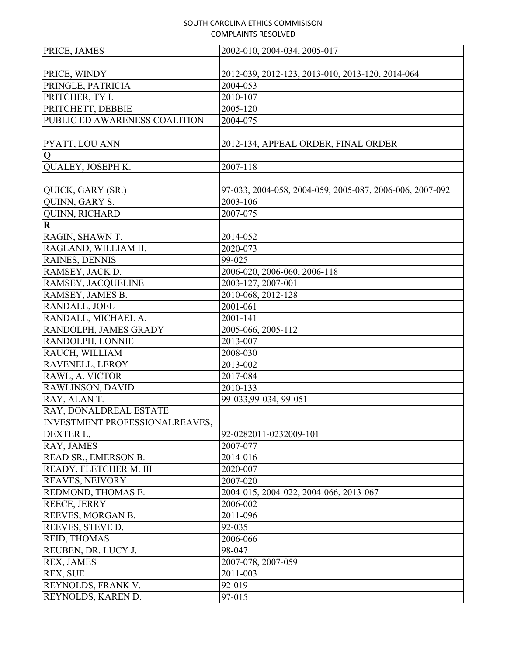| PRICE, JAMES                          | 2002-010, 2004-034, 2005-017                             |
|---------------------------------------|----------------------------------------------------------|
|                                       |                                                          |
| PRICE, WINDY                          | 2012-039, 2012-123, 2013-010, 2013-120, 2014-064         |
| PRINGLE, PATRICIA                     | 2004-053                                                 |
| PRITCHER, TY I.                       | 2010-107                                                 |
| PRITCHETT, DEBBIE                     | 2005-120                                                 |
| PUBLIC ED AWARENESS COALITION         | 2004-075                                                 |
| PYATT, LOU ANN                        | 2012-134, APPEAL ORDER, FINAL ORDER                      |
| Q                                     |                                                          |
| QUALEY, JOSEPH K.                     | 2007-118                                                 |
| QUICK, GARY (SR.)                     | 97-033, 2004-058, 2004-059, 2005-087, 2006-006, 2007-092 |
| QUINN, GARY S.                        | 2003-106                                                 |
| <b>QUINN, RICHARD</b>                 | 2007-075                                                 |
| R                                     |                                                          |
| RAGIN, SHAWN T.                       | 2014-052                                                 |
| RAGLAND, WILLIAM H.                   | 2020-073                                                 |
| RAINES, DENNIS                        | 99-025                                                   |
| RAMSEY, JACK D.                       | 2006-020, 2006-060, 2006-118                             |
| RAMSEY, JACQUELINE                    | 2003-127, 2007-001                                       |
| RAMSEY, JAMES B.                      | 2010-068, 2012-128                                       |
| RANDALL, JOEL                         | 2001-061                                                 |
| RANDALL, MICHAEL A.                   | 2001-141                                                 |
| RANDOLPH, JAMES GRADY                 | 2005-066, 2005-112                                       |
| RANDOLPH, LONNIE                      | 2013-007                                                 |
| RAUCH, WILLIAM                        | 2008-030                                                 |
| RAVENELL, LEROY                       | 2013-002                                                 |
| RAWL, A. VICTOR                       | 2017-084                                                 |
| RAWLINSON, DAVID                      | 2010-133                                                 |
| RAY, ALAN T.                          | 99-033,99-034, 99-051                                    |
| <b>RAY, DONALDREAL ESTATE</b>         |                                                          |
| <b>INVESTMENT PROFESSIONALREAVES,</b> |                                                          |
| DEXTER L.                             | 92-0282011-0232009-101                                   |
| RAY, JAMES                            | 2007-077                                                 |
| READ SR., EMERSON B.                  | 2014-016                                                 |
| READY, FLETCHER M. III                | 2020-007                                                 |
| <b>REAVES, NEIVORY</b>                | 2007-020                                                 |
| REDMOND, THOMAS E.                    | 2004-015, 2004-022, 2004-066, 2013-067                   |
| REECE, JERRY                          | 2006-002                                                 |
| REEVES, MORGAN B.                     | 2011-096                                                 |
| REEVES, STEVE D.                      | 92-035                                                   |
| <b>REID, THOMAS</b>                   | 2006-066                                                 |
| REUBEN, DR. LUCY J.                   | 98-047                                                   |
| <b>REX, JAMES</b>                     | 2007-078, 2007-059                                       |
| REX, SUE                              | 2011-003                                                 |
| REYNOLDS, FRANK V.                    | 92-019                                                   |
| REYNOLDS, KAREN D.                    | 97-015                                                   |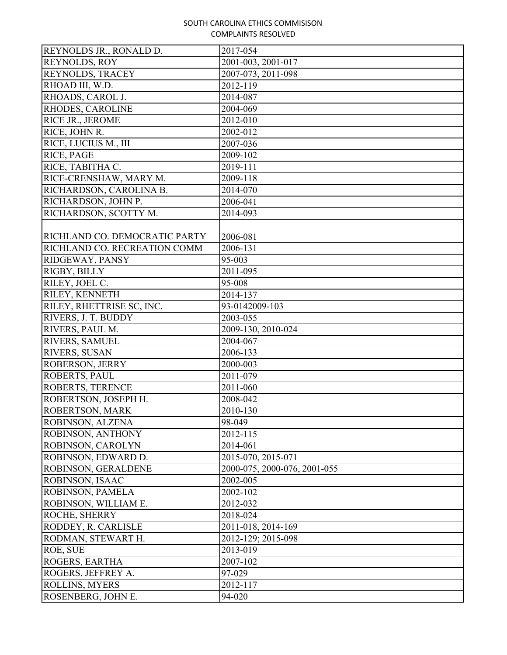| REYNOLDS JR., RONALD D.       | 2017-054                     |
|-------------------------------|------------------------------|
| REYNOLDS, ROY                 | 2001-003, 2001-017           |
| <b>REYNOLDS, TRACEY</b>       | 2007-073, 2011-098           |
| RHOAD III, W.D.               | 2012-119                     |
| RHOADS, CAROL J.              | 2014-087                     |
| RHODES, CAROLINE              | 2004-069                     |
| RICE JR., JEROME              | 2012-010                     |
| RICE, JOHN R.                 | 2002-012                     |
| RICE, LUCIUS M., III          | 2007-036                     |
| RICE, PAGE                    | 2009-102                     |
| RICE, TABITHA C.              | 2019-111                     |
| RICE-CRENSHAW, MARY M.        | 2009-118                     |
| RICHARDSON, CAROLINA B.       | 2014-070                     |
| RICHARDSON, JOHN P.           | 2006-041                     |
| RICHARDSON, SCOTTY M.         | 2014-093                     |
|                               |                              |
| RICHLAND CO. DEMOCRATIC PARTY | 2006-081                     |
| RICHLAND CO. RECREATION COMM  | 2006-131                     |
| RIDGEWAY, PANSY               | 95-003                       |
| RIGBY, BILLY                  | 2011-095                     |
| RILEY, JOEL C.                | 95-008                       |
| RILEY, KENNETH                | 2014-137                     |
| RILEY, RHETTRISE SC, INC.     | 93-0142009-103               |
| RIVERS, J. T. BUDDY           | 2003-055                     |
| RIVERS, PAUL M.               | 2009-130, 2010-024           |
| <b>RIVERS, SAMUEL</b>         | 2004-067                     |
| <b>RIVERS, SUSAN</b>          | 2006-133                     |
| <b>ROBERSON, JERRY</b>        | 2000-003                     |
| <b>ROBERTS, PAUL</b>          | 2011-079                     |
| <b>ROBERTS, TERENCE</b>       | 2011-060                     |
| ROBERTSON, JOSEPH H.          | 2008-042                     |
| ROBERTSON, MARK               | 2010-130                     |
| ROBINSON, ALZENA              | 98-049                       |
| ROBINSON, ANTHONY             | 2012-115                     |
| ROBINSON, CAROLYN             | 2014-061                     |
| ROBINSON, EDWARD D.           | 2015-070, 2015-071           |
| ROBINSON, GERALDENE           | 2000-075, 2000-076, 2001-055 |
| ROBINSON, ISAAC               | 2002-005                     |
| ROBINSON, PAMELA              | 2002-102                     |
| ROBINSON, WILLIAM E.          | 2012-032                     |
| <b>ROCHE, SHERRY</b>          | 2018-024                     |
| RODDEY, R. CARLISLE           | 2011-018, 2014-169           |
| RODMAN, STEWART H.            | 2012-129; 2015-098           |
| ROE, SUE                      | 2013-019                     |
| <b>ROGERS, EARTHA</b>         | 2007-102                     |
| ROGERS, JEFFREY A.            | 97-029                       |
| <b>ROLLINS, MYERS</b>         | 2012-117                     |
| ROSENBERG, JOHN E.            | 94-020                       |
|                               |                              |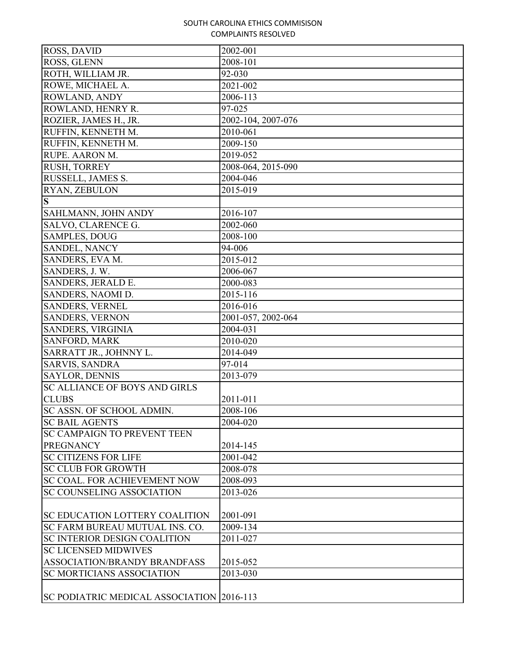| ROSS, GLENN<br>2008-101<br>ROTH, WILLIAM JR.<br>92-030<br>ROWE, MICHAEL A.<br>2021-002<br>ROWLAND, ANDY<br>2006-113<br>ROWLAND, HENRY R.<br>97-025<br>2002-104, 2007-076<br>ROZIER, JAMES H., JR.<br>RUFFIN, KENNETH M.<br>2010-061<br>RUFFIN, KENNETH M.<br>2009-150<br>RUPE. AARON M.<br>2019-052<br>RUSH, TORREY<br>2008-064, 2015-090<br>RUSSELL, JAMES S.<br>2004-046<br>RYAN, ZEBULON<br>2015-019<br>S<br>SAHLMANN, JOHN ANDY<br>2016-107<br>SALVO, CLARENCE G.<br>2002-060<br><b>SAMPLES, DOUG</b><br>2008-100<br>SANDEL, NANCY<br>94-006<br>SANDERS, EVA M.<br>2015-012<br>SANDERS, J.W.<br>2006-067<br>SANDERS, JERALD E.<br>2000-083<br>2015-116<br>SANDERS, NAOMI D.<br>2016-016<br><b>SANDERS, VERNEL</b><br><b>SANDERS, VERNON</b><br>2001-057, 2002-064<br>SANDERS, VIRGINIA<br>2004-031<br><b>SANFORD, MARK</b><br>2010-020<br>SARRATT JR., JOHNNY L.<br>2014-049<br><b>SARVIS, SANDRA</b><br>97-014<br><b>SAYLOR, DENNIS</b><br>2013-079<br><b>SC ALLIANCE OF BOYS AND GIRLS</b><br><b>CLUBS</b><br>2011-011<br>2008-106<br>SC ASSN. OF SCHOOL ADMIN.<br><b>SC BAIL AGENTS</b><br>2004-020<br><b>SC CAMPAIGN TO PREVENT TEEN</b><br><b>PREGNANCY</b><br>2014-145<br><b>SC CITIZENS FOR LIFE</b><br>2001-042<br><b>SC CLUB FOR GROWTH</b><br>2008-078<br><b>SC COAL. FOR ACHIEVEMENT NOW</b><br>2008-093<br><b>SC COUNSELING ASSOCIATION</b><br>2013-026<br><b>SC EDUCATION LOTTERY COALITION</b><br>2001-091<br>SC FARM BUREAU MUTUAL INS. CO.<br>2009-134<br><b>SC INTERIOR DESIGN COALITION</b><br>2011-027<br><b>SC LICENSED MIDWIVES</b><br><b>ASSOCIATION/BRANDY BRANDFASS</b><br>2015-052<br><b>SC MORTICIANS ASSOCIATION</b><br>2013-030<br>SC PODIATRIC MEDICAL ASSOCIATION 2016-113 | ROSS, DAVID | 2002-001 |
|--------------------------------------------------------------------------------------------------------------------------------------------------------------------------------------------------------------------------------------------------------------------------------------------------------------------------------------------------------------------------------------------------------------------------------------------------------------------------------------------------------------------------------------------------------------------------------------------------------------------------------------------------------------------------------------------------------------------------------------------------------------------------------------------------------------------------------------------------------------------------------------------------------------------------------------------------------------------------------------------------------------------------------------------------------------------------------------------------------------------------------------------------------------------------------------------------------------------------------------------------------------------------------------------------------------------------------------------------------------------------------------------------------------------------------------------------------------------------------------------------------------------------------------------------------------------------------------------------------------------------------------------------------------------------------------------------------------|-------------|----------|
|                                                                                                                                                                                                                                                                                                                                                                                                                                                                                                                                                                                                                                                                                                                                                                                                                                                                                                                                                                                                                                                                                                                                                                                                                                                                                                                                                                                                                                                                                                                                                                                                                                                                                                              |             |          |
|                                                                                                                                                                                                                                                                                                                                                                                                                                                                                                                                                                                                                                                                                                                                                                                                                                                                                                                                                                                                                                                                                                                                                                                                                                                                                                                                                                                                                                                                                                                                                                                                                                                                                                              |             |          |
|                                                                                                                                                                                                                                                                                                                                                                                                                                                                                                                                                                                                                                                                                                                                                                                                                                                                                                                                                                                                                                                                                                                                                                                                                                                                                                                                                                                                                                                                                                                                                                                                                                                                                                              |             |          |
|                                                                                                                                                                                                                                                                                                                                                                                                                                                                                                                                                                                                                                                                                                                                                                                                                                                                                                                                                                                                                                                                                                                                                                                                                                                                                                                                                                                                                                                                                                                                                                                                                                                                                                              |             |          |
|                                                                                                                                                                                                                                                                                                                                                                                                                                                                                                                                                                                                                                                                                                                                                                                                                                                                                                                                                                                                                                                                                                                                                                                                                                                                                                                                                                                                                                                                                                                                                                                                                                                                                                              |             |          |
|                                                                                                                                                                                                                                                                                                                                                                                                                                                                                                                                                                                                                                                                                                                                                                                                                                                                                                                                                                                                                                                                                                                                                                                                                                                                                                                                                                                                                                                                                                                                                                                                                                                                                                              |             |          |
|                                                                                                                                                                                                                                                                                                                                                                                                                                                                                                                                                                                                                                                                                                                                                                                                                                                                                                                                                                                                                                                                                                                                                                                                                                                                                                                                                                                                                                                                                                                                                                                                                                                                                                              |             |          |
|                                                                                                                                                                                                                                                                                                                                                                                                                                                                                                                                                                                                                                                                                                                                                                                                                                                                                                                                                                                                                                                                                                                                                                                                                                                                                                                                                                                                                                                                                                                                                                                                                                                                                                              |             |          |
|                                                                                                                                                                                                                                                                                                                                                                                                                                                                                                                                                                                                                                                                                                                                                                                                                                                                                                                                                                                                                                                                                                                                                                                                                                                                                                                                                                                                                                                                                                                                                                                                                                                                                                              |             |          |
|                                                                                                                                                                                                                                                                                                                                                                                                                                                                                                                                                                                                                                                                                                                                                                                                                                                                                                                                                                                                                                                                                                                                                                                                                                                                                                                                                                                                                                                                                                                                                                                                                                                                                                              |             |          |
|                                                                                                                                                                                                                                                                                                                                                                                                                                                                                                                                                                                                                                                                                                                                                                                                                                                                                                                                                                                                                                                                                                                                                                                                                                                                                                                                                                                                                                                                                                                                                                                                                                                                                                              |             |          |
|                                                                                                                                                                                                                                                                                                                                                                                                                                                                                                                                                                                                                                                                                                                                                                                                                                                                                                                                                                                                                                                                                                                                                                                                                                                                                                                                                                                                                                                                                                                                                                                                                                                                                                              |             |          |
|                                                                                                                                                                                                                                                                                                                                                                                                                                                                                                                                                                                                                                                                                                                                                                                                                                                                                                                                                                                                                                                                                                                                                                                                                                                                                                                                                                                                                                                                                                                                                                                                                                                                                                              |             |          |
|                                                                                                                                                                                                                                                                                                                                                                                                                                                                                                                                                                                                                                                                                                                                                                                                                                                                                                                                                                                                                                                                                                                                                                                                                                                                                                                                                                                                                                                                                                                                                                                                                                                                                                              |             |          |
|                                                                                                                                                                                                                                                                                                                                                                                                                                                                                                                                                                                                                                                                                                                                                                                                                                                                                                                                                                                                                                                                                                                                                                                                                                                                                                                                                                                                                                                                                                                                                                                                                                                                                                              |             |          |
|                                                                                                                                                                                                                                                                                                                                                                                                                                                                                                                                                                                                                                                                                                                                                                                                                                                                                                                                                                                                                                                                                                                                                                                                                                                                                                                                                                                                                                                                                                                                                                                                                                                                                                              |             |          |
|                                                                                                                                                                                                                                                                                                                                                                                                                                                                                                                                                                                                                                                                                                                                                                                                                                                                                                                                                                                                                                                                                                                                                                                                                                                                                                                                                                                                                                                                                                                                                                                                                                                                                                              |             |          |
|                                                                                                                                                                                                                                                                                                                                                                                                                                                                                                                                                                                                                                                                                                                                                                                                                                                                                                                                                                                                                                                                                                                                                                                                                                                                                                                                                                                                                                                                                                                                                                                                                                                                                                              |             |          |
|                                                                                                                                                                                                                                                                                                                                                                                                                                                                                                                                                                                                                                                                                                                                                                                                                                                                                                                                                                                                                                                                                                                                                                                                                                                                                                                                                                                                                                                                                                                                                                                                                                                                                                              |             |          |
|                                                                                                                                                                                                                                                                                                                                                                                                                                                                                                                                                                                                                                                                                                                                                                                                                                                                                                                                                                                                                                                                                                                                                                                                                                                                                                                                                                                                                                                                                                                                                                                                                                                                                                              |             |          |
|                                                                                                                                                                                                                                                                                                                                                                                                                                                                                                                                                                                                                                                                                                                                                                                                                                                                                                                                                                                                                                                                                                                                                                                                                                                                                                                                                                                                                                                                                                                                                                                                                                                                                                              |             |          |
|                                                                                                                                                                                                                                                                                                                                                                                                                                                                                                                                                                                                                                                                                                                                                                                                                                                                                                                                                                                                                                                                                                                                                                                                                                                                                                                                                                                                                                                                                                                                                                                                                                                                                                              |             |          |
|                                                                                                                                                                                                                                                                                                                                                                                                                                                                                                                                                                                                                                                                                                                                                                                                                                                                                                                                                                                                                                                                                                                                                                                                                                                                                                                                                                                                                                                                                                                                                                                                                                                                                                              |             |          |
|                                                                                                                                                                                                                                                                                                                                                                                                                                                                                                                                                                                                                                                                                                                                                                                                                                                                                                                                                                                                                                                                                                                                                                                                                                                                                                                                                                                                                                                                                                                                                                                                                                                                                                              |             |          |
|                                                                                                                                                                                                                                                                                                                                                                                                                                                                                                                                                                                                                                                                                                                                                                                                                                                                                                                                                                                                                                                                                                                                                                                                                                                                                                                                                                                                                                                                                                                                                                                                                                                                                                              |             |          |
|                                                                                                                                                                                                                                                                                                                                                                                                                                                                                                                                                                                                                                                                                                                                                                                                                                                                                                                                                                                                                                                                                                                                                                                                                                                                                                                                                                                                                                                                                                                                                                                                                                                                                                              |             |          |
|                                                                                                                                                                                                                                                                                                                                                                                                                                                                                                                                                                                                                                                                                                                                                                                                                                                                                                                                                                                                                                                                                                                                                                                                                                                                                                                                                                                                                                                                                                                                                                                                                                                                                                              |             |          |
|                                                                                                                                                                                                                                                                                                                                                                                                                                                                                                                                                                                                                                                                                                                                                                                                                                                                                                                                                                                                                                                                                                                                                                                                                                                                                                                                                                                                                                                                                                                                                                                                                                                                                                              |             |          |
|                                                                                                                                                                                                                                                                                                                                                                                                                                                                                                                                                                                                                                                                                                                                                                                                                                                                                                                                                                                                                                                                                                                                                                                                                                                                                                                                                                                                                                                                                                                                                                                                                                                                                                              |             |          |
|                                                                                                                                                                                                                                                                                                                                                                                                                                                                                                                                                                                                                                                                                                                                                                                                                                                                                                                                                                                                                                                                                                                                                                                                                                                                                                                                                                                                                                                                                                                                                                                                                                                                                                              |             |          |
|                                                                                                                                                                                                                                                                                                                                                                                                                                                                                                                                                                                                                                                                                                                                                                                                                                                                                                                                                                                                                                                                                                                                                                                                                                                                                                                                                                                                                                                                                                                                                                                                                                                                                                              |             |          |
|                                                                                                                                                                                                                                                                                                                                                                                                                                                                                                                                                                                                                                                                                                                                                                                                                                                                                                                                                                                                                                                                                                                                                                                                                                                                                                                                                                                                                                                                                                                                                                                                                                                                                                              |             |          |
|                                                                                                                                                                                                                                                                                                                                                                                                                                                                                                                                                                                                                                                                                                                                                                                                                                                                                                                                                                                                                                                                                                                                                                                                                                                                                                                                                                                                                                                                                                                                                                                                                                                                                                              |             |          |
|                                                                                                                                                                                                                                                                                                                                                                                                                                                                                                                                                                                                                                                                                                                                                                                                                                                                                                                                                                                                                                                                                                                                                                                                                                                                                                                                                                                                                                                                                                                                                                                                                                                                                                              |             |          |
|                                                                                                                                                                                                                                                                                                                                                                                                                                                                                                                                                                                                                                                                                                                                                                                                                                                                                                                                                                                                                                                                                                                                                                                                                                                                                                                                                                                                                                                                                                                                                                                                                                                                                                              |             |          |
|                                                                                                                                                                                                                                                                                                                                                                                                                                                                                                                                                                                                                                                                                                                                                                                                                                                                                                                                                                                                                                                                                                                                                                                                                                                                                                                                                                                                                                                                                                                                                                                                                                                                                                              |             |          |
|                                                                                                                                                                                                                                                                                                                                                                                                                                                                                                                                                                                                                                                                                                                                                                                                                                                                                                                                                                                                                                                                                                                                                                                                                                                                                                                                                                                                                                                                                                                                                                                                                                                                                                              |             |          |
|                                                                                                                                                                                                                                                                                                                                                                                                                                                                                                                                                                                                                                                                                                                                                                                                                                                                                                                                                                                                                                                                                                                                                                                                                                                                                                                                                                                                                                                                                                                                                                                                                                                                                                              |             |          |
|                                                                                                                                                                                                                                                                                                                                                                                                                                                                                                                                                                                                                                                                                                                                                                                                                                                                                                                                                                                                                                                                                                                                                                                                                                                                                                                                                                                                                                                                                                                                                                                                                                                                                                              |             |          |
|                                                                                                                                                                                                                                                                                                                                                                                                                                                                                                                                                                                                                                                                                                                                                                                                                                                                                                                                                                                                                                                                                                                                                                                                                                                                                                                                                                                                                                                                                                                                                                                                                                                                                                              |             |          |
|                                                                                                                                                                                                                                                                                                                                                                                                                                                                                                                                                                                                                                                                                                                                                                                                                                                                                                                                                                                                                                                                                                                                                                                                                                                                                                                                                                                                                                                                                                                                                                                                                                                                                                              |             |          |
|                                                                                                                                                                                                                                                                                                                                                                                                                                                                                                                                                                                                                                                                                                                                                                                                                                                                                                                                                                                                                                                                                                                                                                                                                                                                                                                                                                                                                                                                                                                                                                                                                                                                                                              |             |          |
|                                                                                                                                                                                                                                                                                                                                                                                                                                                                                                                                                                                                                                                                                                                                                                                                                                                                                                                                                                                                                                                                                                                                                                                                                                                                                                                                                                                                                                                                                                                                                                                                                                                                                                              |             |          |
|                                                                                                                                                                                                                                                                                                                                                                                                                                                                                                                                                                                                                                                                                                                                                                                                                                                                                                                                                                                                                                                                                                                                                                                                                                                                                                                                                                                                                                                                                                                                                                                                                                                                                                              |             |          |
|                                                                                                                                                                                                                                                                                                                                                                                                                                                                                                                                                                                                                                                                                                                                                                                                                                                                                                                                                                                                                                                                                                                                                                                                                                                                                                                                                                                                                                                                                                                                                                                                                                                                                                              |             |          |
|                                                                                                                                                                                                                                                                                                                                                                                                                                                                                                                                                                                                                                                                                                                                                                                                                                                                                                                                                                                                                                                                                                                                                                                                                                                                                                                                                                                                                                                                                                                                                                                                                                                                                                              |             |          |
|                                                                                                                                                                                                                                                                                                                                                                                                                                                                                                                                                                                                                                                                                                                                                                                                                                                                                                                                                                                                                                                                                                                                                                                                                                                                                                                                                                                                                                                                                                                                                                                                                                                                                                              |             |          |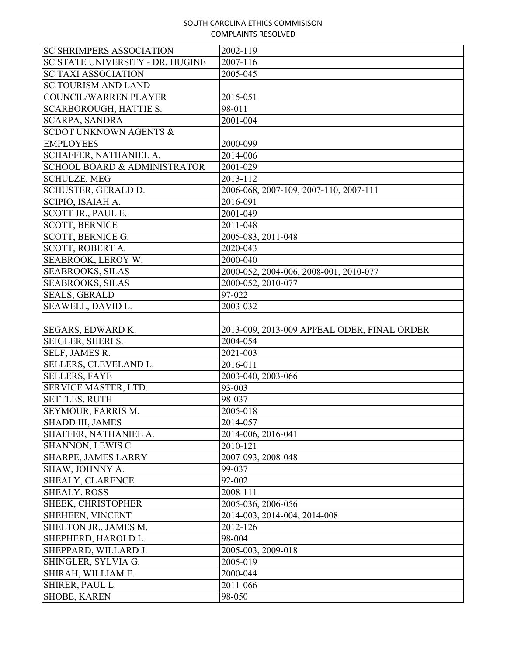| <b>SC SHRIMPERS ASSOCIATION</b><br>2002-119<br>SC STATE UNIVERSITY - DR. HUGINE<br>2007-116<br><b>SC TAXI ASSOCIATION</b><br>2005-045<br><b>SC TOURISM AND LAND</b><br><b>COUNCIL/WARREN PLAYER</b><br>2015-051<br><b>SCARBOROUGH, HATTIE S.</b><br>98-011<br><b>SCARPA, SANDRA</b><br>2001-004<br><b>SCDOT UNKNOWN AGENTS &amp;</b><br><b>EMPLOYEES</b><br>2000-099<br><b>SCHAFFER, NATHANIEL A.</b><br>2014-006<br><b>SCHOOL BOARD &amp; ADMINISTRATOR</b><br>2001-029<br><b>SCHULZE, MEG</b><br>2013-112<br><b>SCHUSTER, GERALD D.</b><br>2006-068, 2007-109, 2007-110, 2007-111<br>SCIPIO, ISAIAH A.<br>2016-091<br>SCOTT JR., PAUL E.<br>2001-049<br><b>SCOTT, BERNICE</b><br>2011-048<br><b>SCOTT, BERNICE G.</b><br>2005-083, 2011-048<br><b>SCOTT, ROBERT A.</b><br>2020-043<br>SEABROOK, LEROY W.<br>2000-040<br><b>SEABROOKS, SILAS</b><br>2000-052, 2004-006, 2008-001, 2010-077<br><b>SEABROOKS, SILAS</b><br>2000-052, 2010-077<br><b>SEALS, GERALD</b><br>97-022<br>SEAWELL, DAVID L.<br>2003-032<br><b>SEGARS, EDWARD K.</b><br>2013-009, 2013-009 APPEAL ODER, FINAL ORDER<br>SEIGLER, SHERI S.<br>2004-054<br>SELF, JAMES R.<br>2021-003<br>SELLERS, CLEVELAND L.<br>2016-011<br><b>SELLERS, FAYE</b><br>2003-040, 2003-066<br><b>SERVICE MASTER, LTD.</b><br>93-003<br><b>SETTLES, RUTH</b><br>98-037<br><b>SEYMOUR, FARRIS M.</b><br>2005-018<br><b>SHADD III, JAMES</b><br>2014-057<br>SHAFFER, NATHANIEL A.<br>2014-006, 2016-041<br>SHANNON, LEWIS C.<br>2010-121<br><b>SHARPE, JAMES LARRY</b><br>2007-093, 2008-048<br>SHAW, JOHNNY A.<br>99-037<br><b>SHEALY, CLARENCE</b><br>92-002 |
|---------------------------------------------------------------------------------------------------------------------------------------------------------------------------------------------------------------------------------------------------------------------------------------------------------------------------------------------------------------------------------------------------------------------------------------------------------------------------------------------------------------------------------------------------------------------------------------------------------------------------------------------------------------------------------------------------------------------------------------------------------------------------------------------------------------------------------------------------------------------------------------------------------------------------------------------------------------------------------------------------------------------------------------------------------------------------------------------------------------------------------------------------------------------------------------------------------------------------------------------------------------------------------------------------------------------------------------------------------------------------------------------------------------------------------------------------------------------------------------------------------------------------------------------------------------------------------------------------------------|
|                                                                                                                                                                                                                                                                                                                                                                                                                                                                                                                                                                                                                                                                                                                                                                                                                                                                                                                                                                                                                                                                                                                                                                                                                                                                                                                                                                                                                                                                                                                                                                                                               |
|                                                                                                                                                                                                                                                                                                                                                                                                                                                                                                                                                                                                                                                                                                                                                                                                                                                                                                                                                                                                                                                                                                                                                                                                                                                                                                                                                                                                                                                                                                                                                                                                               |
|                                                                                                                                                                                                                                                                                                                                                                                                                                                                                                                                                                                                                                                                                                                                                                                                                                                                                                                                                                                                                                                                                                                                                                                                                                                                                                                                                                                                                                                                                                                                                                                                               |
|                                                                                                                                                                                                                                                                                                                                                                                                                                                                                                                                                                                                                                                                                                                                                                                                                                                                                                                                                                                                                                                                                                                                                                                                                                                                                                                                                                                                                                                                                                                                                                                                               |
|                                                                                                                                                                                                                                                                                                                                                                                                                                                                                                                                                                                                                                                                                                                                                                                                                                                                                                                                                                                                                                                                                                                                                                                                                                                                                                                                                                                                                                                                                                                                                                                                               |
|                                                                                                                                                                                                                                                                                                                                                                                                                                                                                                                                                                                                                                                                                                                                                                                                                                                                                                                                                                                                                                                                                                                                                                                                                                                                                                                                                                                                                                                                                                                                                                                                               |
|                                                                                                                                                                                                                                                                                                                                                                                                                                                                                                                                                                                                                                                                                                                                                                                                                                                                                                                                                                                                                                                                                                                                                                                                                                                                                                                                                                                                                                                                                                                                                                                                               |
|                                                                                                                                                                                                                                                                                                                                                                                                                                                                                                                                                                                                                                                                                                                                                                                                                                                                                                                                                                                                                                                                                                                                                                                                                                                                                                                                                                                                                                                                                                                                                                                                               |
|                                                                                                                                                                                                                                                                                                                                                                                                                                                                                                                                                                                                                                                                                                                                                                                                                                                                                                                                                                                                                                                                                                                                                                                                                                                                                                                                                                                                                                                                                                                                                                                                               |
|                                                                                                                                                                                                                                                                                                                                                                                                                                                                                                                                                                                                                                                                                                                                                                                                                                                                                                                                                                                                                                                                                                                                                                                                                                                                                                                                                                                                                                                                                                                                                                                                               |
|                                                                                                                                                                                                                                                                                                                                                                                                                                                                                                                                                                                                                                                                                                                                                                                                                                                                                                                                                                                                                                                                                                                                                                                                                                                                                                                                                                                                                                                                                                                                                                                                               |
|                                                                                                                                                                                                                                                                                                                                                                                                                                                                                                                                                                                                                                                                                                                                                                                                                                                                                                                                                                                                                                                                                                                                                                                                                                                                                                                                                                                                                                                                                                                                                                                                               |
|                                                                                                                                                                                                                                                                                                                                                                                                                                                                                                                                                                                                                                                                                                                                                                                                                                                                                                                                                                                                                                                                                                                                                                                                                                                                                                                                                                                                                                                                                                                                                                                                               |
|                                                                                                                                                                                                                                                                                                                                                                                                                                                                                                                                                                                                                                                                                                                                                                                                                                                                                                                                                                                                                                                                                                                                                                                                                                                                                                                                                                                                                                                                                                                                                                                                               |
|                                                                                                                                                                                                                                                                                                                                                                                                                                                                                                                                                                                                                                                                                                                                                                                                                                                                                                                                                                                                                                                                                                                                                                                                                                                                                                                                                                                                                                                                                                                                                                                                               |
|                                                                                                                                                                                                                                                                                                                                                                                                                                                                                                                                                                                                                                                                                                                                                                                                                                                                                                                                                                                                                                                                                                                                                                                                                                                                                                                                                                                                                                                                                                                                                                                                               |
|                                                                                                                                                                                                                                                                                                                                                                                                                                                                                                                                                                                                                                                                                                                                                                                                                                                                                                                                                                                                                                                                                                                                                                                                                                                                                                                                                                                                                                                                                                                                                                                                               |
|                                                                                                                                                                                                                                                                                                                                                                                                                                                                                                                                                                                                                                                                                                                                                                                                                                                                                                                                                                                                                                                                                                                                                                                                                                                                                                                                                                                                                                                                                                                                                                                                               |
|                                                                                                                                                                                                                                                                                                                                                                                                                                                                                                                                                                                                                                                                                                                                                                                                                                                                                                                                                                                                                                                                                                                                                                                                                                                                                                                                                                                                                                                                                                                                                                                                               |
|                                                                                                                                                                                                                                                                                                                                                                                                                                                                                                                                                                                                                                                                                                                                                                                                                                                                                                                                                                                                                                                                                                                                                                                                                                                                                                                                                                                                                                                                                                                                                                                                               |
|                                                                                                                                                                                                                                                                                                                                                                                                                                                                                                                                                                                                                                                                                                                                                                                                                                                                                                                                                                                                                                                                                                                                                                                                                                                                                                                                                                                                                                                                                                                                                                                                               |
|                                                                                                                                                                                                                                                                                                                                                                                                                                                                                                                                                                                                                                                                                                                                                                                                                                                                                                                                                                                                                                                                                                                                                                                                                                                                                                                                                                                                                                                                                                                                                                                                               |
|                                                                                                                                                                                                                                                                                                                                                                                                                                                                                                                                                                                                                                                                                                                                                                                                                                                                                                                                                                                                                                                                                                                                                                                                                                                                                                                                                                                                                                                                                                                                                                                                               |
|                                                                                                                                                                                                                                                                                                                                                                                                                                                                                                                                                                                                                                                                                                                                                                                                                                                                                                                                                                                                                                                                                                                                                                                                                                                                                                                                                                                                                                                                                                                                                                                                               |
|                                                                                                                                                                                                                                                                                                                                                                                                                                                                                                                                                                                                                                                                                                                                                                                                                                                                                                                                                                                                                                                                                                                                                                                                                                                                                                                                                                                                                                                                                                                                                                                                               |
|                                                                                                                                                                                                                                                                                                                                                                                                                                                                                                                                                                                                                                                                                                                                                                                                                                                                                                                                                                                                                                                                                                                                                                                                                                                                                                                                                                                                                                                                                                                                                                                                               |
|                                                                                                                                                                                                                                                                                                                                                                                                                                                                                                                                                                                                                                                                                                                                                                                                                                                                                                                                                                                                                                                                                                                                                                                                                                                                                                                                                                                                                                                                                                                                                                                                               |
|                                                                                                                                                                                                                                                                                                                                                                                                                                                                                                                                                                                                                                                                                                                                                                                                                                                                                                                                                                                                                                                                                                                                                                                                                                                                                                                                                                                                                                                                                                                                                                                                               |
|                                                                                                                                                                                                                                                                                                                                                                                                                                                                                                                                                                                                                                                                                                                                                                                                                                                                                                                                                                                                                                                                                                                                                                                                                                                                                                                                                                                                                                                                                                                                                                                                               |
|                                                                                                                                                                                                                                                                                                                                                                                                                                                                                                                                                                                                                                                                                                                                                                                                                                                                                                                                                                                                                                                                                                                                                                                                                                                                                                                                                                                                                                                                                                                                                                                                               |
|                                                                                                                                                                                                                                                                                                                                                                                                                                                                                                                                                                                                                                                                                                                                                                                                                                                                                                                                                                                                                                                                                                                                                                                                                                                                                                                                                                                                                                                                                                                                                                                                               |
|                                                                                                                                                                                                                                                                                                                                                                                                                                                                                                                                                                                                                                                                                                                                                                                                                                                                                                                                                                                                                                                                                                                                                                                                                                                                                                                                                                                                                                                                                                                                                                                                               |
|                                                                                                                                                                                                                                                                                                                                                                                                                                                                                                                                                                                                                                                                                                                                                                                                                                                                                                                                                                                                                                                                                                                                                                                                                                                                                                                                                                                                                                                                                                                                                                                                               |
|                                                                                                                                                                                                                                                                                                                                                                                                                                                                                                                                                                                                                                                                                                                                                                                                                                                                                                                                                                                                                                                                                                                                                                                                                                                                                                                                                                                                                                                                                                                                                                                                               |
|                                                                                                                                                                                                                                                                                                                                                                                                                                                                                                                                                                                                                                                                                                                                                                                                                                                                                                                                                                                                                                                                                                                                                                                                                                                                                                                                                                                                                                                                                                                                                                                                               |
|                                                                                                                                                                                                                                                                                                                                                                                                                                                                                                                                                                                                                                                                                                                                                                                                                                                                                                                                                                                                                                                                                                                                                                                                                                                                                                                                                                                                                                                                                                                                                                                                               |
|                                                                                                                                                                                                                                                                                                                                                                                                                                                                                                                                                                                                                                                                                                                                                                                                                                                                                                                                                                                                                                                                                                                                                                                                                                                                                                                                                                                                                                                                                                                                                                                                               |
| $\overline{2008} - 111$<br><b>SHEALY, ROSS</b>                                                                                                                                                                                                                                                                                                                                                                                                                                                                                                                                                                                                                                                                                                                                                                                                                                                                                                                                                                                                                                                                                                                                                                                                                                                                                                                                                                                                                                                                                                                                                                |
| SHEEK, CHRISTOPHER<br>2005-036, 2006-056                                                                                                                                                                                                                                                                                                                                                                                                                                                                                                                                                                                                                                                                                                                                                                                                                                                                                                                                                                                                                                                                                                                                                                                                                                                                                                                                                                                                                                                                                                                                                                      |
| <b>SHEHEEN, VINCENT</b><br>2014-003, 2014-004, 2014-008                                                                                                                                                                                                                                                                                                                                                                                                                                                                                                                                                                                                                                                                                                                                                                                                                                                                                                                                                                                                                                                                                                                                                                                                                                                                                                                                                                                                                                                                                                                                                       |
| SHELTON JR., JAMES M.<br>2012-126                                                                                                                                                                                                                                                                                                                                                                                                                                                                                                                                                                                                                                                                                                                                                                                                                                                                                                                                                                                                                                                                                                                                                                                                                                                                                                                                                                                                                                                                                                                                                                             |
| SHEPHERD, HAROLD L.<br>98-004                                                                                                                                                                                                                                                                                                                                                                                                                                                                                                                                                                                                                                                                                                                                                                                                                                                                                                                                                                                                                                                                                                                                                                                                                                                                                                                                                                                                                                                                                                                                                                                 |
| SHEPPARD, WILLARD J.<br>2005-003, 2009-018                                                                                                                                                                                                                                                                                                                                                                                                                                                                                                                                                                                                                                                                                                                                                                                                                                                                                                                                                                                                                                                                                                                                                                                                                                                                                                                                                                                                                                                                                                                                                                    |
|                                                                                                                                                                                                                                                                                                                                                                                                                                                                                                                                                                                                                                                                                                                                                                                                                                                                                                                                                                                                                                                                                                                                                                                                                                                                                                                                                                                                                                                                                                                                                                                                               |
| 2005-019<br>SHINGLER, SYLVIA G.                                                                                                                                                                                                                                                                                                                                                                                                                                                                                                                                                                                                                                                                                                                                                                                                                                                                                                                                                                                                                                                                                                                                                                                                                                                                                                                                                                                                                                                                                                                                                                               |
| SHIRAH, WILLIAM E.<br>2000-044                                                                                                                                                                                                                                                                                                                                                                                                                                                                                                                                                                                                                                                                                                                                                                                                                                                                                                                                                                                                                                                                                                                                                                                                                                                                                                                                                                                                                                                                                                                                                                                |
| SHIRER, PAUL L.<br>2011-066                                                                                                                                                                                                                                                                                                                                                                                                                                                                                                                                                                                                                                                                                                                                                                                                                                                                                                                                                                                                                                                                                                                                                                                                                                                                                                                                                                                                                                                                                                                                                                                   |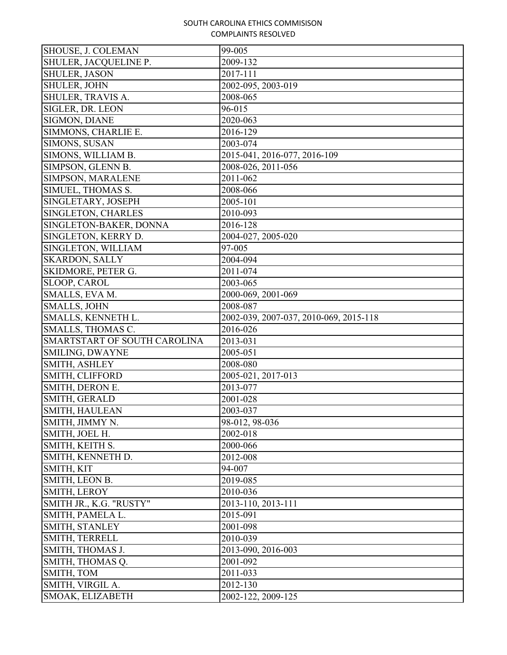| <b>SHOUSE, J. COLEMAN</b>    | 99-005                                 |
|------------------------------|----------------------------------------|
| SHULER, JACQUELINE P.        | 2009-132                               |
| <b>SHULER, JASON</b>         | 2017-111                               |
| <b>SHULER, JOHN</b>          | 2002-095, 2003-019                     |
| SHULER, TRAVIS A.            | 2008-065                               |
| SIGLER, DR. LEON             | 96-015                                 |
| SIGMON, DIANE                | 2020-063                               |
| SIMMONS, CHARLIE E.          | 2016-129                               |
| <b>SIMONS, SUSAN</b>         | 2003-074                               |
| SIMONS, WILLIAM B.           | 2015-041, 2016-077, 2016-109           |
| SIMPSON, GLENN B.            | 2008-026, 2011-056                     |
| SIMPSON, MARALENE            | 2011-062                               |
| SIMUEL, THOMAS S.            | 2008-066                               |
| SINGLETARY, JOSEPH           | 2005-101                               |
| SINGLETON, CHARLES           | 2010-093                               |
| SINGLETON-BAKER, DONNA       | 2016-128                               |
| SINGLETON, KERRY D.          | 2004-027, 2005-020                     |
| SINGLETON, WILLIAM           | 97-005                                 |
| <b>SKARDON, SALLY</b>        | 2004-094                               |
| SKIDMORE, PETER G.           | 2011-074                               |
| SLOOP, CAROL                 | 2003-065                               |
| SMALLS, EVA M.               | 2000-069, 2001-069                     |
| <b>SMALLS, JOHN</b>          | 2008-087                               |
| SMALLS, KENNETH L.           | 2002-039, 2007-037, 2010-069, 2015-118 |
| SMALLS, THOMAS C.            | 2016-026                               |
| SMARTSTART OF SOUTH CAROLINA | 2013-031                               |
| <b>SMILING, DWAYNE</b>       | 2005-051                               |
| SMITH, ASHLEY                | 2008-080                               |
| SMITH, CLIFFORD              | 2005-021, 2017-013                     |
| SMITH, DERON E.              | 2013-077                               |
| SMITH, GERALD                | 2001-028                               |
| <b>SMITH, HAULEAN</b>        | 2003-037                               |
| SMITH, JIMMY N.              | 98-012, 98-036                         |
| SMITH, JOEL H.               | 2002-018                               |
| SMITH, KEITH S.              | 2000-066                               |
| SMITH, KENNETH D.            | 2012-008                               |
| SMITH, KIT                   | 94-007                                 |
| SMITH, LEON B.               | 2019-085                               |
| SMITH, LEROY                 | 2010-036                               |
| SMITH JR., K.G. "RUSTY"      | 2013-110, 2013-111                     |
| SMITH, PAMELA L.             | 2015-091                               |
| SMITH, STANLEY               | 2001-098                               |
| SMITH, TERRELL               | 2010-039                               |
| SMITH, THOMAS J.             | 2013-090, 2016-003                     |
| SMITH, THOMAS Q.             | 2001-092                               |
| SMITH, TOM                   | 2011-033                               |
| SMITH, VIRGIL A.             | 2012-130                               |
| SMOAK, ELIZABETH             | 2002-122, 2009-125                     |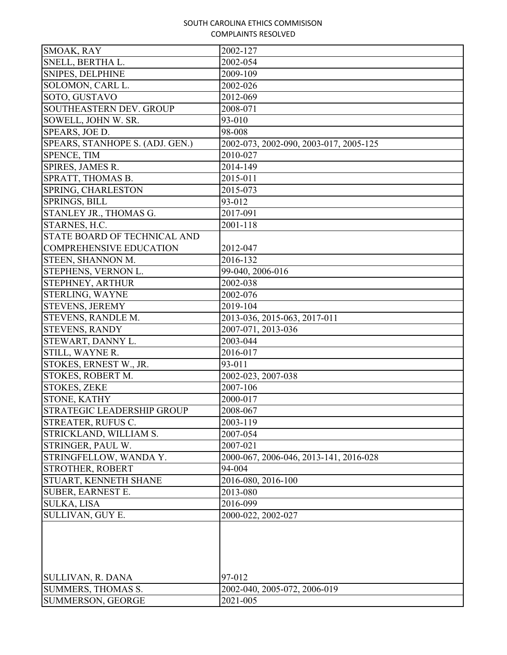| SMOAK, RAY                      | 2002-127                               |
|---------------------------------|----------------------------------------|
| SNELL, BERTHA L.                | 2002-054                               |
| <b>SNIPES, DELPHINE</b>         | 2009-109                               |
| SOLOMON, CARL L.                | 2002-026                               |
| SOTO, GUSTAVO                   | 2012-069                               |
| <b>SOUTHEASTERN DEV. GROUP</b>  | 2008-071                               |
| SOWELL, JOHN W. SR.             | 93-010                                 |
| SPEARS, JOE D.                  | 98-008                                 |
| SPEARS, STANHOPE S. (ADJ. GEN.) | 2002-073, 2002-090, 2003-017, 2005-125 |
| SPENCE, TIM                     | 2010-027                               |
| SPIRES, JAMES R.                | 2014-149                               |
| SPRATT, THOMAS B.               | 2015-011                               |
| SPRING, CHARLESTON              | 2015-073                               |
| <b>SPRINGS, BILL</b>            | 93-012                                 |
| STANLEY JR., THOMAS G.          | 2017-091                               |
| STARNES, H.C.                   | 2001-118                               |
| STATE BOARD OF TECHNICAL AND    |                                        |
| <b>COMPREHENSIVE EDUCATION</b>  | 2012-047                               |
| STEEN, SHANNON M.               | 2016-132                               |
| STEPHENS, VERNON L.             | 99-040, 2006-016                       |
| <b>STEPHNEY, ARTHUR</b>         | 2002-038                               |
| STERLING, WAYNE                 | 2002-076                               |
| <b>STEVENS, JEREMY</b>          | 2019-104                               |
| <b>STEVENS, RANDLE M.</b>       | 2013-036, 2015-063, 2017-011           |
| <b>STEVENS, RANDY</b>           | 2007-071, 2013-036                     |
| STEWART, DANNY L.               | 2003-044                               |
| STILL, WAYNE R.                 | 2016-017                               |
| STOKES, ERNEST W., JR.          | 93-011                                 |
| STOKES, ROBERT M.               | 2002-023, 2007-038                     |
| <b>STOKES, ZEKE</b>             | 2007-106                               |
| STONE, KATHY                    | 2000-017                               |
| STRATEGIC LEADERSHIP GROUP      | 2008-067                               |
| <b>STREATER, RUFUS C.</b>       | 2003-119                               |
| STRICKLAND, WILLIAM S.          | 2007-054                               |
| STRINGER, PAUL W.               | 2007-021                               |
| STRINGFELLOW, WANDA Y.          | 2000-067, 2006-046, 2013-141, 2016-028 |
| STROTHER, ROBERT                | 94-004                                 |
| STUART, KENNETH SHANE           | 2016-080, 2016-100                     |
| <b>SUBER, EARNEST E.</b>        | 2013-080                               |
| <b>SULKA, LISA</b>              | 2016-099                               |
| SULLIVAN, GUY E.                | 2000-022, 2002-027                     |
|                                 |                                        |
| <b>SULLIVAN, R. DANA</b>        | 97-012                                 |
| SUMMERS, THOMAS S.              | 2002-040, 2005-072, 2006-019           |
| <b>SUMMERSON, GEORGE</b>        | 2021-005                               |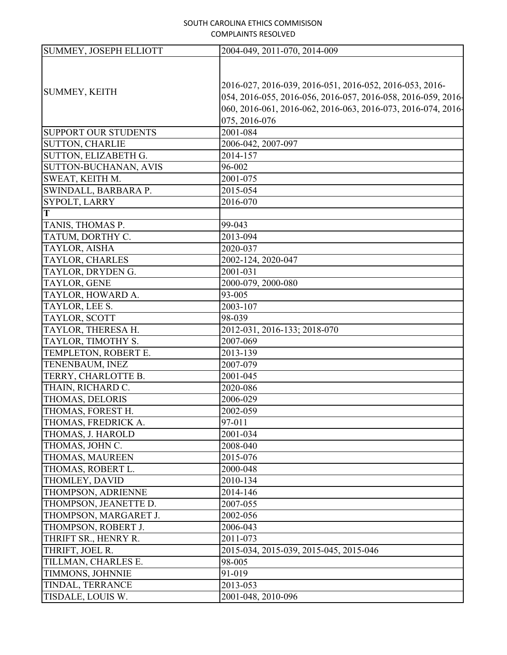| <b>SUMMEY, JOSEPH ELLIOTT</b> | 2004-049, 2011-070, 2014-009                                 |
|-------------------------------|--------------------------------------------------------------|
|                               |                                                              |
|                               |                                                              |
| SUMMEY, KEITH                 | 2016-027, 2016-039, 2016-051, 2016-052, 2016-053, 2016-      |
|                               | 054, 2016-055, 2016-056, 2016-057, 2016-058, 2016-059, 2016- |
|                               | 060, 2016-061, 2016-062, 2016-063, 2016-073, 2016-074, 2016- |
|                               | 075, 2016-076                                                |
| <b>SUPPORT OUR STUDENTS</b>   | 2001-084                                                     |
| <b>SUTTON, CHARLIE</b>        | 2006-042, 2007-097                                           |
| SUTTON, ELIZABETH G.          | 2014-157                                                     |
| SUTTON-BUCHANAN, AVIS         | 96-002                                                       |
| SWEAT, KEITH M.               | 2001-075                                                     |
| SWINDALL, BARBARA P.          | 2015-054                                                     |
| SYPOLT, LARRY                 | 2016-070                                                     |
| T                             |                                                              |
| TANIS, THOMAS P.              | 99-043                                                       |
| TATUM, DORTHY C.              | 2013-094                                                     |
| TAYLOR, AISHA                 | 2020-037                                                     |
| TAYLOR, CHARLES               | 2002-124, 2020-047                                           |
| TAYLOR, DRYDEN G.             | 2001-031                                                     |
| TAYLOR, GENE                  | 2000-079, 2000-080                                           |
| TAYLOR, HOWARD A.             | 93-005                                                       |
| TAYLOR, LEE S.                | 2003-107                                                     |
| TAYLOR, SCOTT                 | 98-039                                                       |
| TAYLOR, THERESA H.            | 2012-031, 2016-133; 2018-070                                 |
| TAYLOR, TIMOTHY S.            | 2007-069                                                     |
| TEMPLETON, ROBERT E.          | 2013-139                                                     |
| TENENBAUM, INEZ               | 2007-079                                                     |
| TERRY, CHARLOTTE B.           | 2001-045                                                     |
| THAIN, RICHARD C.             | 2020-086                                                     |
| THOMAS, DELORIS               | 2006-029                                                     |
| THOMAS, FOREST H.             | 2002-059                                                     |
| THOMAS, FREDRICK A.           | 97-011                                                       |
| THOMAS, J. HAROLD             | 2001-034                                                     |
| THOMAS, JOHN C.               | 2008-040                                                     |
| THOMAS, MAUREEN               | 2015-076                                                     |
| THOMAS, ROBERT L.             | 2000-048                                                     |
| THOMLEY, DAVID                | 2010-134                                                     |
| THOMPSON, ADRIENNE            | 2014-146                                                     |
| THOMPSON, JEANETTE D.         | 2007-055                                                     |
| THOMPSON, MARGARET J.         | 2002-056                                                     |
| THOMPSON, ROBERT J.           | 2006-043                                                     |
| THRIFT SR., HENRY R.          | 2011-073                                                     |
| THRIFT, JOEL R.               | 2015-034, 2015-039, 2015-045, 2015-046                       |
| TILLMAN, CHARLES E.           | 98-005                                                       |
| TIMMONS, JOHNNIE              | 91-019                                                       |
| TINDAL, TERRANCE              | 2013-053                                                     |
| TISDALE, LOUIS W.             | 2001-048, 2010-096                                           |
|                               |                                                              |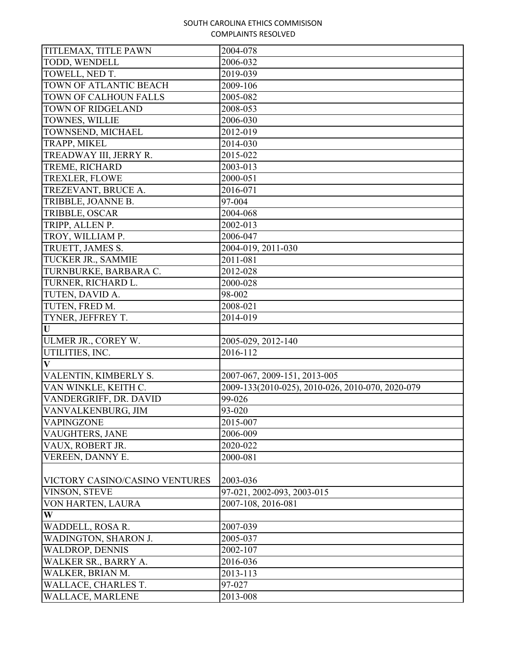| TITLEMAX, TITLE PAWN           | 2004-078                                         |
|--------------------------------|--------------------------------------------------|
| TODD, WENDELL                  | 2006-032                                         |
| TOWELL, NED T.                 | 2019-039                                         |
| <b>TOWN OF ATLANTIC BEACH</b>  | 2009-106                                         |
| TOWN OF CALHOUN FALLS          | 2005-082                                         |
| <b>TOWN OF RIDGELAND</b>       | 2008-053                                         |
| TOWNES, WILLIE                 | 2006-030                                         |
| TOWNSEND, MICHAEL              | 2012-019                                         |
| TRAPP, MIKEL                   | 2014-030                                         |
| TREADWAY III, JERRY R.         | 2015-022                                         |
| TREME, RICHARD                 | 2003-013                                         |
| TREXLER, FLOWE                 | 2000-051                                         |
| TREZEVANT, BRUCE A.            | 2016-071                                         |
| TRIBBLE, JOANNE B.             | 97-004                                           |
| TRIBBLE, OSCAR                 | 2004-068                                         |
| TRIPP, ALLEN P.                | 2002-013                                         |
| TROY, WILLIAM P.               | 2006-047                                         |
| TRUETT, JAMES S.               | 2004-019, 2011-030                               |
| TUCKER JR., SAMMIE             | 2011-081                                         |
| TURNBURKE, BARBARA C.          | 2012-028                                         |
| TURNER, RICHARD L.             | 2000-028                                         |
| TUTEN, DAVID A.                | 98-002                                           |
| TUTEN, FRED M.                 | 2008-021                                         |
| TYNER, JEFFREY T.              | 2014-019                                         |
| U                              |                                                  |
| <b>ULMER JR., COREY W.</b>     | 2005-029, 2012-140                               |
| UTILITIES, INC.                | 2016-112                                         |
| $\overline{\mathbf{V}}$        |                                                  |
| VALENTIN, KIMBERLY S.          | 2007-067, 2009-151, 2013-005                     |
| VAN WINKLE, KEITH C.           | 2009-133(2010-025), 2010-026, 2010-070, 2020-079 |
| VANDERGRIFF, DR. DAVID         | 99-026                                           |
| VANVALKENBURG, JIM             | 93-020                                           |
| <b>VAPINGZONE</b>              | 2015-007                                         |
| VAUGHTERS, JANE                | 2006-009                                         |
| VAUX, ROBERT JR.               | 2020-022                                         |
| VEREEN, DANNY E.               | 2000-081                                         |
|                                |                                                  |
| VICTORY CASINO/CASINO VENTURES | 2003-036                                         |
| VINSON, STEVE                  | 97-021, 2002-093, 2003-015                       |
| VON HARTEN, LAURA              | 2007-108, 2016-081                               |
| W                              |                                                  |
| WADDELL, ROSA R.               | 2007-039                                         |
| WADINGTON, SHARON J.           | 2005-037                                         |
| <b>WALDROP, DENNIS</b>         | 2002-107                                         |
| WALKER SR., BARRY A.           | 2016-036                                         |
| WALKER, BRIAN M.               | 2013-113                                         |
| WALLACE, CHARLES T.            | 97-027                                           |
| WALLACE, MARLENE               | 2013-008                                         |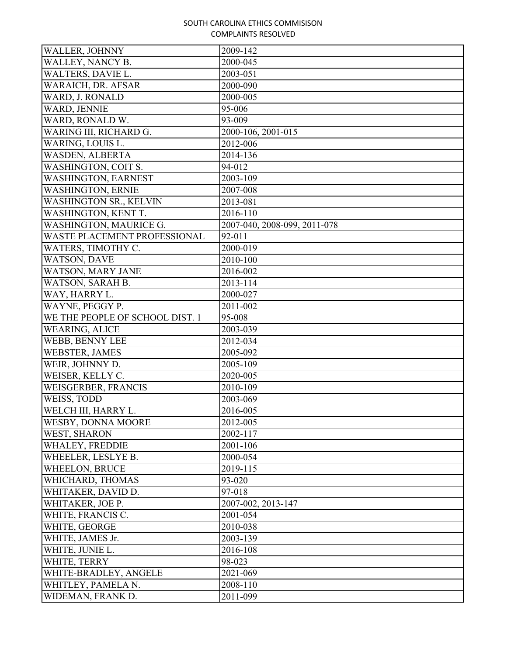| WALLER, JOHNNY                  | 2009-142                     |
|---------------------------------|------------------------------|
| WALLEY, NANCY B.                | 2000-045                     |
| WALTERS, DAVIE L.               | 2003-051                     |
| WARAICH, DR. AFSAR              | 2000-090                     |
| WARD, J. RONALD                 | 2000-005                     |
| WARD, JENNIE                    | 95-006                       |
| WARD, RONALD W.                 | 93-009                       |
| WARING III, RICHARD G.          | 2000-106, 2001-015           |
| WARING, LOUIS L.                | 2012-006                     |
| <b>WASDEN, ALBERTA</b>          | 2014-136                     |
| WASHINGTON, COIT S.             | 94-012                       |
| WASHINGTON, EARNEST             | 2003-109                     |
| <b>WASHINGTON, ERNIE</b>        | 2007-008                     |
| WASHINGTON SR., KELVIN          | 2013-081                     |
| WASHINGTON, KENT T.             | 2016-110                     |
| WASHINGTON, MAURICE G.          | 2007-040, 2008-099, 2011-078 |
| WASTE PLACEMENT PROFESSIONAL    | 92-011                       |
| WATERS, TIMOTHY C.              | 2000-019                     |
| <b>WATSON, DAVE</b>             | 2010-100                     |
| WATSON, MARY JANE               | 2016-002                     |
| WATSON, SARAH B.                | 2013-114                     |
| WAY, HARRY L.                   | 2000-027                     |
| WAYNE, PEGGY P.                 | 2011-002                     |
| WE THE PEOPLE OF SCHOOL DIST. 1 | 95-008                       |
| <b>WEARING, ALICE</b>           | 2003-039                     |
| WEBB, BENNY LEE                 | 2012-034                     |
| <b>WEBSTER, JAMES</b>           | 2005-092                     |
| WEIR, JOHNNY D.                 | 2005-109                     |
| WEISER, KELLY C.                | 2020-005                     |
| WEISGERBER, FRANCIS             | 2010-109                     |
| WEISS, TODD                     | 2003-069                     |
| WELCH III, HARRY L.             | 2016-005                     |
| <b>WESBY, DONNA MOORE</b>       | 2012-005                     |
| WEST, SHARON                    | 2002-117                     |
| WHALEY, FREDDIE                 | 2001-106                     |
| WHEELER, LESLYE B.              | 2000-054                     |
| <b>WHEELON, BRUCE</b>           | 2019-115                     |
| WHICHARD, THOMAS                | 93-020                       |
| WHITAKER, DAVID D.              | 97-018                       |
| WHITAKER, JOE P.                | 2007-002, 2013-147           |
| WHITE, FRANCIS C.               | 2001-054                     |
| WHITE, GEORGE                   | 2010-038                     |
| WHITE, JAMES Jr.                | 2003-139                     |
| WHITE, JUNIE L.                 | 2016-108                     |
| WHITE, TERRY                    | 98-023                       |
| WHITE-BRADLEY, ANGELE           | 2021-069                     |
| WHITLEY, PAMELA N.              | 2008-110                     |
| WIDEMAN, FRANK D.               | 2011-099                     |
|                                 |                              |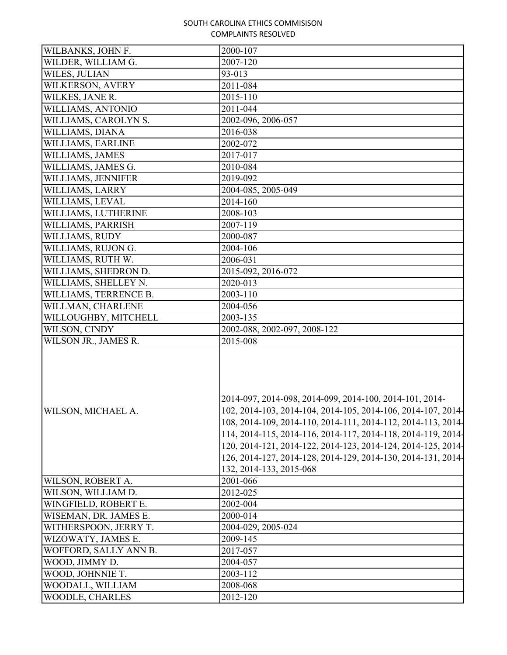| WILBANKS, JOHN F.     | 2000-107                                                                                                                                                                                                                                                                                                                                                                                                           |
|-----------------------|--------------------------------------------------------------------------------------------------------------------------------------------------------------------------------------------------------------------------------------------------------------------------------------------------------------------------------------------------------------------------------------------------------------------|
| WILDER, WILLIAM G.    | 2007-120                                                                                                                                                                                                                                                                                                                                                                                                           |
| WILES, JULIAN         | 93-013                                                                                                                                                                                                                                                                                                                                                                                                             |
| WILKERSON, AVERY      | 2011-084                                                                                                                                                                                                                                                                                                                                                                                                           |
| WILKES, JANE R.       | 2015-110                                                                                                                                                                                                                                                                                                                                                                                                           |
| WILLIAMS, ANTONIO     | 2011-044                                                                                                                                                                                                                                                                                                                                                                                                           |
| WILLIAMS, CAROLYN S.  | 2002-096, 2006-057                                                                                                                                                                                                                                                                                                                                                                                                 |
| WILLIAMS, DIANA       | 2016-038                                                                                                                                                                                                                                                                                                                                                                                                           |
| WILLIAMS, EARLINE     | 2002-072                                                                                                                                                                                                                                                                                                                                                                                                           |
| WILLIAMS, JAMES       | 2017-017                                                                                                                                                                                                                                                                                                                                                                                                           |
| WILLIAMS, JAMES G.    | 2010-084                                                                                                                                                                                                                                                                                                                                                                                                           |
| WILLIAMS, JENNIFER    | 2019-092                                                                                                                                                                                                                                                                                                                                                                                                           |
| WILLIAMS, LARRY       | 2004-085, 2005-049                                                                                                                                                                                                                                                                                                                                                                                                 |
| WILLIAMS, LEVAL       | 2014-160                                                                                                                                                                                                                                                                                                                                                                                                           |
| WILLIAMS, LUTHERINE   | 2008-103                                                                                                                                                                                                                                                                                                                                                                                                           |
| WILLIAMS, PARRISH     | 2007-119                                                                                                                                                                                                                                                                                                                                                                                                           |
| WILLIAMS, RUDY        | 2000-087                                                                                                                                                                                                                                                                                                                                                                                                           |
| WILLIAMS, RUJON G.    | 2004-106                                                                                                                                                                                                                                                                                                                                                                                                           |
| WILLIAMS, RUTH W.     | 2006-031                                                                                                                                                                                                                                                                                                                                                                                                           |
| WILLIAMS, SHEDRON D.  | 2015-092, 2016-072                                                                                                                                                                                                                                                                                                                                                                                                 |
| WILLIAMS, SHELLEY N.  | 2020-013                                                                                                                                                                                                                                                                                                                                                                                                           |
| WILLIAMS, TERRENCE B. | 2003-110                                                                                                                                                                                                                                                                                                                                                                                                           |
| WILLMAN, CHARLENE     | 2004-056                                                                                                                                                                                                                                                                                                                                                                                                           |
| WILLOUGHBY, MITCHELL  | 2003-135                                                                                                                                                                                                                                                                                                                                                                                                           |
| WILSON, CINDY         | 2002-088, 2002-097, 2008-122                                                                                                                                                                                                                                                                                                                                                                                       |
| WILSON JR., JAMES R.  | 2015-008                                                                                                                                                                                                                                                                                                                                                                                                           |
| WILSON, MICHAEL A.    | 2014-097, 2014-098, 2014-099, 2014-100, 2014-101, 2014-<br>102, 2014-103, 2014-104, 2014-105, 2014-106, 2014-107, 2014-<br>108, 2014-109, 2014-110, 2014-111, 2014-112, 2014-113, 2014-<br>114, 2014-115, 2014-116, 2014-117, 2014-118, 2014-119, 2014-<br>120, 2014-121, 2014-122, 2014-123, 2014-124, 2014-125, 2014-<br>126, 2014-127, 2014-128, 2014-129, 2014-130, 2014-131, 2014-<br>132, 2014-133, 2015-068 |
| WILSON, ROBERT A.     | 2001-066                                                                                                                                                                                                                                                                                                                                                                                                           |
| WILSON, WILLIAM D.    | 2012-025                                                                                                                                                                                                                                                                                                                                                                                                           |
| WINGFIELD, ROBERT E.  | 2002-004                                                                                                                                                                                                                                                                                                                                                                                                           |
| WISEMAN, DR. JAMES E. | 2000-014                                                                                                                                                                                                                                                                                                                                                                                                           |
| WITHERSPOON, JERRY T. | 2004-029, 2005-024                                                                                                                                                                                                                                                                                                                                                                                                 |
| WIZOWATY, JAMES E.    | 2009-145                                                                                                                                                                                                                                                                                                                                                                                                           |
| WOFFORD, SALLY ANN B. | 2017-057                                                                                                                                                                                                                                                                                                                                                                                                           |
| WOOD, JIMMY D.        | 2004-057                                                                                                                                                                                                                                                                                                                                                                                                           |
| WOOD, JOHNNIE T.      | 2003-112                                                                                                                                                                                                                                                                                                                                                                                                           |
| WOODALL, WILLIAM      | 2008-068                                                                                                                                                                                                                                                                                                                                                                                                           |
| WOODLE, CHARLES       | 2012-120                                                                                                                                                                                                                                                                                                                                                                                                           |